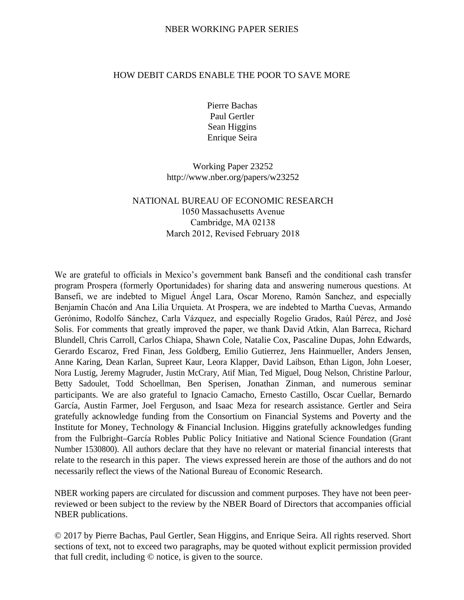## HOW DEBIT CARDS ENABLE THE POOR TO SAVE MORE

Pierre Bachas Paul Gertler Sean Higgins Enrique Seira

Working Paper 23252 http://www.nber.org/papers/w23252

# NATIONAL BUREAU OF ECONOMIC RESEARCH 1050 Massachusetts Avenue Cambridge, MA 02138 March 2012, Revised February 2018

We are grateful to officials in Mexico's government bank Bansefi and the conditional cash transfer program Prospera (formerly Oportunidades) for sharing data and answering numerous questions. At Bansefi, we are indebted to Miguel Ángel Lara, Oscar Moreno, Ramón Sanchez, and especially Benjamín Chacón and Ana Lilia Urquieta. At Prospera, we are indebted to Martha Cuevas, Armando Gerónimo, Rodolfo Sánchez, Carla Vázquez, and especially Rogelio Grados, Raúl Pérez, and José Solis. For comments that greatly improved the paper, we thank David Atkin, Alan Barreca, Richard Blundell, Chris Carroll, Carlos Chiapa, Shawn Cole, Natalie Cox, Pascaline Dupas, John Edwards, Gerardo Escaroz, Fred Finan, Jess Goldberg, Emilio Gutierrez, Jens Hainmueller, Anders Jensen, Anne Karing, Dean Karlan, Supreet Kaur, Leora Klapper, David Laibson, Ethan Ligon, John Loeser, Nora Lustig, Jeremy Magruder, Justin McCrary, Atif Mian, Ted Miguel, Doug Nelson, Christine Parlour, Betty Sadoulet, Todd Schoellman, Ben Sperisen, Jonathan Zinman, and numerous seminar participants. We are also grateful to Ignacio Camacho, Ernesto Castillo, Oscar Cuellar, Bernardo García, Austin Farmer, Joel Ferguson, and Isaac Meza for research assistance. Gertler and Seira gratefully acknowledge funding from the Consortium on Financial Systems and Poverty and the Institute for Money, Technology & Financial Inclusion. Higgins gratefully acknowledges funding from the Fulbright–García Robles Public Policy Initiative and National Science Foundation (Grant Number 1530800). All authors declare that they have no relevant or material financial interests that relate to the research in this paper. The views expressed herein are those of the authors and do not necessarily reflect the views of the National Bureau of Economic Research.

NBER working papers are circulated for discussion and comment purposes. They have not been peerreviewed or been subject to the review by the NBER Board of Directors that accompanies official NBER publications.

© 2017 by Pierre Bachas, Paul Gertler, Sean Higgins, and Enrique Seira. All rights reserved. Short sections of text, not to exceed two paragraphs, may be quoted without explicit permission provided that full credit, including © notice, is given to the source.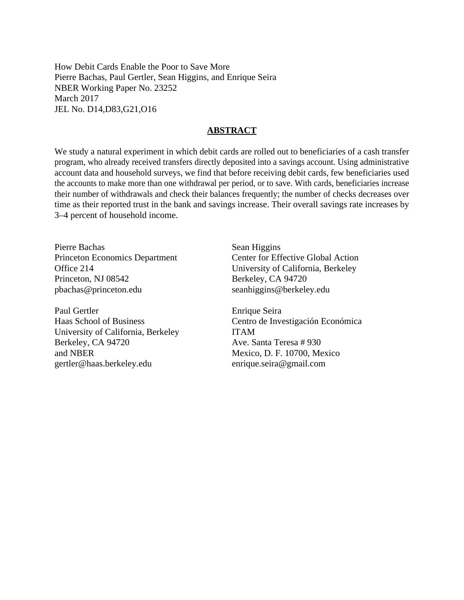How Debit Cards Enable the Poor to Save More Pierre Bachas, Paul Gertler, Sean Higgins, and Enrique Seira NBER Working Paper No. 23252 March 2017 JEL No. D14,D83,G21,O16

### **ABSTRACT**

We study a natural experiment in which debit cards are rolled out to beneficiaries of a cash transfer program, who already received transfers directly deposited into a savings account. Using administrative account data and household surveys, we find that before receiving debit cards, few beneficiaries used the accounts to make more than one withdrawal per period, or to save. With cards, beneficiaries increase their number of withdrawals and check their balances frequently; the number of checks decreases over time as their reported trust in the bank and savings increase. Their overall savings rate increases by 3–4 percent of household income.

Pierre Bachas Princeton Economics Department Office 214 Princeton, NJ 08542 pbachas@princeton.edu

Paul Gertler Haas School of Business University of California, Berkeley Berkeley, CA 94720 and NBER gertler@haas.berkeley.edu

Sean Higgins Center for Effective Global Action University of California, Berkeley Berkeley, CA 94720 seanhiggins@berkeley.edu

Enrique Seira Centro de Investigación Económica ITAM Ave. Santa Teresa # 930 Mexico, D. F. 10700, Mexico enrique.seira@gmail.com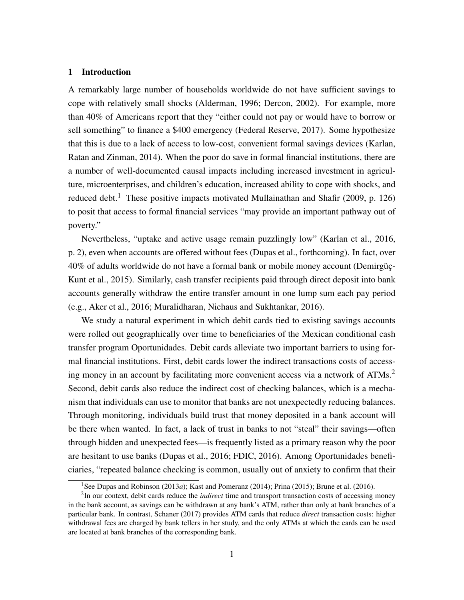### 1 Introduction

A remarkably large number of households worldwide do not have sufficient savings to cope with relatively small shocks [\(Alderman, 1996;](#page-30-0) [Dercon, 2002\)](#page-31-0). For example, more than 40% of Americans report that they "either could not pay or would have to borrow or sell something" to finance a \$400 emergency [\(Federal Reserve, 2017\)](#page-32-0). Some hypothesize that this is due to a lack of access to low-cost, convenient formal savings devices [\(Karlan,](#page-32-1) [Ratan and Zinman, 2014\)](#page-32-1). When the poor do save in formal financial institutions, there are a number of well-documented causal impacts including increased investment in agriculture, microenterprises, and children's education, increased ability to cope with shocks, and reduced debt.<sup>[1](#page-2-0)</sup> These positive impacts motivated [Mullainathan and Shafir](#page-32-2) [\(2009,](#page-32-2) p. 126) to posit that access to formal financial services "may provide an important pathway out of poverty."

Nevertheless, "uptake and active usage remain puzzlingly low" [\(Karlan et al., 2016,](#page-32-3) p. 2), even when accounts are offered without fees [\(Dupas et al., forthcoming\)](#page-31-1). In fact, over 40% of adults worldwide do not have a formal bank or mobile money account [\(Demirgüç-](#page-31-2)[Kunt et al., 2015\)](#page-31-2). Similarly, cash transfer recipients paid through direct deposit into bank accounts generally withdraw the entire transfer amount in one lump sum each pay period (e.g., [Aker et al., 2016;](#page-30-1) [Muralidharan, Niehaus and Sukhtankar, 2016\)](#page-32-4).

We study a natural experiment in which debit cards tied to existing savings accounts were rolled out geographically over time to beneficiaries of the Mexican conditional cash transfer program Oportunidades. Debit cards alleviate two important barriers to using formal financial institutions. First, debit cards lower the indirect transactions costs of access-ing money in an account by facilitating more convenient access via a network of ATMs.<sup>[2](#page-2-1)</sup> Second, debit cards also reduce the indirect cost of checking balances, which is a mechanism that individuals can use to monitor that banks are not unexpectedly reducing balances. Through monitoring, individuals build trust that money deposited in a bank account will be there when wanted. In fact, a lack of trust in banks to not "steal" their savings—often through hidden and unexpected fees—is frequently listed as a primary reason why the poor are hesitant to use banks [\(Dupas et al., 2016;](#page-31-3) [FDIC, 2016\)](#page-31-4). Among Oportunidades beneficiaries, "repeated balance checking is common, usually out of anxiety to confirm that their

<span id="page-2-1"></span><span id="page-2-0"></span><sup>&</sup>lt;sup>1</sup>See [Dupas and Robinson](#page-31-5) [\(2013](#page-31-5)*a*); [Kast and Pomeranz](#page-32-5) [\(2014\)](#page-32-5); [Prina](#page-33-0) [\(2015\)](#page-33-0); [Brune et al.](#page-31-6) [\(2016\)](#page-31-6).

<sup>2</sup> In our context, debit cards reduce the *indirect* time and transport transaction costs of accessing money in the bank account, as savings can be withdrawn at any bank's ATM, rather than only at bank branches of a particular bank. In contrast, [Schaner](#page-33-1) [\(2017\)](#page-33-1) provides ATM cards that reduce *direct* transaction costs: higher withdrawal fees are charged by bank tellers in her study, and the only ATMs at which the cards can be used are located at bank branches of the corresponding bank.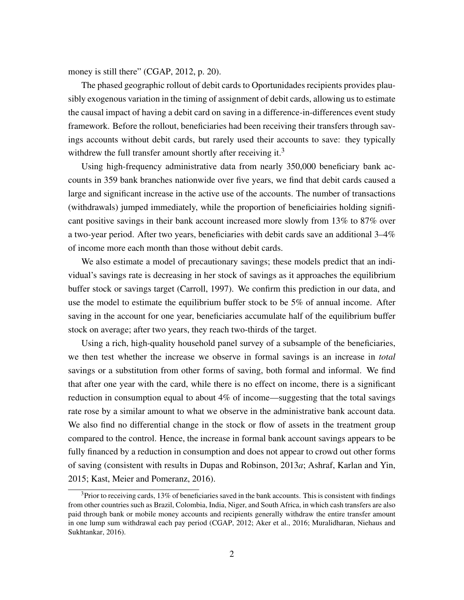money is still there" [\(CGAP, 2012,](#page-31-7) p. 20).

The phased geographic rollout of debit cards to Oportunidades recipients provides plausibly exogenous variation in the timing of assignment of debit cards, allowing us to estimate the causal impact of having a debit card on saving in a difference-in-differences event study framework. Before the rollout, beneficiaries had been receiving their transfers through savings accounts without debit cards, but rarely used their accounts to save: they typically withdrew the full transfer amount shortly after receiving it.<sup>[3](#page-3-0)</sup>

Using high-frequency administrative data from nearly 350,000 beneficiary bank accounts in 359 bank branches nationwide over five years, we find that debit cards caused a large and significant increase in the active use of the accounts. The number of transactions (withdrawals) jumped immediately, while the proportion of beneficiairies holding significant positive savings in their bank account increased more slowly from 13% to 87% over a two-year period. After two years, beneficiaries with debit cards save an additional 3–4% of income more each month than those without debit cards.

We also estimate a model of precautionary savings; these models predict that an individual's savings rate is decreasing in her stock of savings as it approaches the equilibrium buffer stock or savings target [\(Carroll, 1997\)](#page-31-8). We confirm this prediction in our data, and use the model to estimate the equilibrium buffer stock to be 5% of annual income. After saving in the account for one year, beneficiaries accumulate half of the equilibrium buffer stock on average; after two years, they reach two-thirds of the target.

Using a rich, high-quality household panel survey of a subsample of the beneficiaries, we then test whether the increase we observe in formal savings is an increase in *total* savings or a substitution from other forms of saving, both formal and informal. We find that after one year with the card, while there is no effect on income, there is a significant reduction in consumption equal to about 4% of income—suggesting that the total savings rate rose by a similar amount to what we observe in the administrative bank account data. We also find no differential change in the stock or flow of assets in the treatment group compared to the control. Hence, the increase in formal bank account savings appears to be fully financed by a reduction in consumption and does not appear to crowd out other forms of saving (consistent with results in [Dupas and Robinson, 2013](#page-31-5)*a*; [Ashraf, Karlan and Yin,](#page-30-2) [2015;](#page-30-2) [Kast, Meier and Pomeranz, 2016\)](#page-32-6).

<span id="page-3-0"></span> $3P$  Prior to receiving cards, 13% of beneficiaries saved in the bank accounts. This is consistent with findings from other countries such as Brazil, Colombia, India, Niger, and South Africa, in which cash transfers are also paid through bank or mobile money accounts and recipients generally withdraw the entire transfer amount in one lump sum withdrawal each pay period [\(CGAP, 2012;](#page-31-7) [Aker et al., 2016;](#page-30-1) [Muralidharan, Niehaus and](#page-32-4) [Sukhtankar, 2016\)](#page-32-4).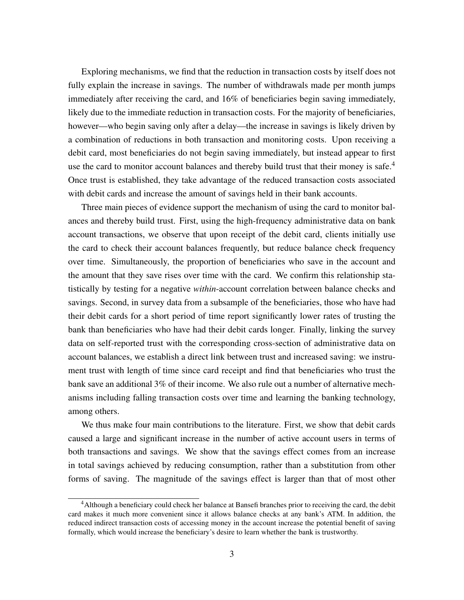Exploring mechanisms, we find that the reduction in transaction costs by itself does not fully explain the increase in savings. The number of withdrawals made per month jumps immediately after receiving the card, and 16% of beneficiaries begin saving immediately, likely due to the immediate reduction in transaction costs. For the majority of beneficiaries, however—who begin saving only after a delay—the increase in savings is likely driven by a combination of reductions in both transaction and monitoring costs. Upon receiving a debit card, most beneficiaries do not begin saving immediately, but instead appear to first use the card to monitor account balances and thereby build trust that their money is safe. $4$ Once trust is established, they take advantage of the reduced transaction costs associated with debit cards and increase the amount of savings held in their bank accounts.

Three main pieces of evidence support the mechanism of using the card to monitor balances and thereby build trust. First, using the high-frequency administrative data on bank account transactions, we observe that upon receipt of the debit card, clients initially use the card to check their account balances frequently, but reduce balance check frequency over time. Simultaneously, the proportion of beneficiaries who save in the account and the amount that they save rises over time with the card. We confirm this relationship statistically by testing for a negative *within*-account correlation between balance checks and savings. Second, in survey data from a subsample of the beneficiaries, those who have had their debit cards for a short period of time report significantly lower rates of trusting the bank than beneficiaries who have had their debit cards longer. Finally, linking the survey data on self-reported trust with the corresponding cross-section of administrative data on account balances, we establish a direct link between trust and increased saving: we instrument trust with length of time since card receipt and find that beneficiaries who trust the bank save an additional 3% of their income. We also rule out a number of alternative mechanisms including falling transaction costs over time and learning the banking technology, among others.

We thus make four main contributions to the literature. First, we show that debit cards caused a large and significant increase in the number of active account users in terms of both transactions and savings. We show that the savings effect comes from an increase in total savings achieved by reducing consumption, rather than a substitution from other forms of saving. The magnitude of the savings effect is larger than that of most other

<span id="page-4-0"></span><sup>&</sup>lt;sup>4</sup>Although a beneficiary could check her balance at Bansefi branches prior to receiving the card, the debit card makes it much more convenient since it allows balance checks at any bank's ATM. In addition, the reduced indirect transaction costs of accessing money in the account increase the potential benefit of saving formally, which would increase the beneficiary's desire to learn whether the bank is trustworthy.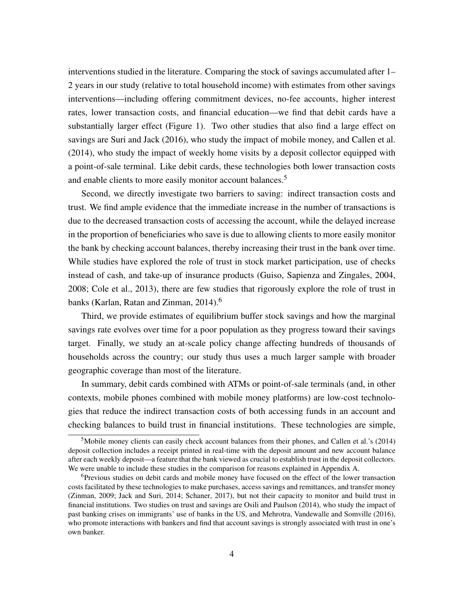interventions studied in the literature. Comparing the stock of savings accumulated after 1– 2 years in our study (relative to total household income) with estimates from other savings interventions—including offering commitment devices, no-fee accounts, higher interest rates, lower transaction costs, and financial education—we find that debit cards have a substantially larger effect (Figure [1\)](#page-36-0). Two other studies that also find a large effect on savings are [Suri and Jack](#page-33-2) [\(2016\)](#page-33-2), who study the impact of mobile money, and [Callen et al.](#page-31-9) [\(2014\)](#page-31-9), who study the impact of weekly home visits by a deposit collector equipped with a point-of-sale terminal. Like debit cards, these technologies both lower transaction costs and enable clients to more easily monitor account balances.<sup>[5](#page-5-0)</sup>

Second, we directly investigate two barriers to saving: indirect transaction costs and trust. We find ample evidence that the immediate increase in the number of transactions is due to the decreased transaction costs of accessing the account, while the delayed increase in the proportion of beneficiaries who save is due to allowing clients to more easily monitor the bank by checking account balances, thereby increasing their trust in the bank over time. While studies have explored the role of trust in stock market participation, use of checks instead of cash, and take-up of insurance products [\(Guiso, Sapienza and Zingales, 2004,](#page-32-7) [2008;](#page-32-8) [Cole et al., 2013\)](#page-31-10), there are few studies that rigorously explore the role of trust in banks [\(Karlan, Ratan and Zinman, 2014\)](#page-32-1).<sup>[6](#page-5-1)</sup>

Third, we provide estimates of equilibrium buffer stock savings and how the marginal savings rate evolves over time for a poor population as they progress toward their savings target. Finally, we study an at-scale policy change affecting hundreds of thousands of households across the country; our study thus uses a much larger sample with broader geographic coverage than most of the literature.

In summary, debit cards combined with ATMs or point-of-sale terminals (and, in other contexts, mobile phones combined with mobile money platforms) are low-cost technologies that reduce the indirect transaction costs of both accessing funds in an account and checking balances to build trust in financial institutions. These technologies are simple,

<span id="page-5-0"></span><sup>5</sup>Mobile money clients can easily check account balances from their phones, and [Callen et al.'](#page-31-9)s [\(2014\)](#page-31-9) deposit collection includes a receipt printed in real-time with the deposit amount and new account balance after each weekly deposit—a feature that the bank viewed as crucial to establish trust in the deposit collectors. We were unable to include these studies in the comparison for reasons explained in Appendix [A.](#page-42-0)

<span id="page-5-1"></span><sup>6</sup>Previous studies on debit cards and mobile money have focused on the effect of the lower transaction costs facilitated by these technologies to make purchases, access savings and remittances, and transfer money [\(Zinman, 2009;](#page-33-3) [Jack and Suri, 2014;](#page-32-9) [Schaner, 2017\)](#page-33-1), but not their capacity to monitor and build trust in financial institutions. Two studies on trust and savings are [Osili and Paulson](#page-32-10) [\(2014\)](#page-32-10), who study the impact of past banking crises on immigrants' use of banks in the US, and [Mehrotra, Vandewalle and Somville](#page-32-11) [\(2016\)](#page-32-11), who promote interactions with bankers and find that account savings is strongly associated with trust in one's own banker.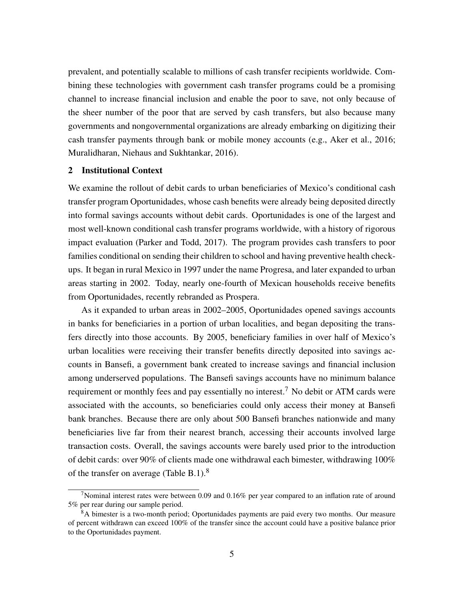prevalent, and potentially scalable to millions of cash transfer recipients worldwide. Combining these technologies with government cash transfer programs could be a promising channel to increase financial inclusion and enable the poor to save, not only because of the sheer number of the poor that are served by cash transfers, but also because many governments and nongovernmental organizations are already embarking on digitizing their cash transfer payments through bank or mobile money accounts (e.g., [Aker et al., 2016;](#page-30-1) [Muralidharan, Niehaus and Sukhtankar, 2016\)](#page-32-4).

### 2 Institutional Context

We examine the rollout of debit cards to urban beneficiaries of Mexico's conditional cash transfer program Oportunidades, whose cash benefits were already being deposited directly into formal savings accounts without debit cards. Oportunidades is one of the largest and most well-known conditional cash transfer programs worldwide, with a history of rigorous impact evaluation [\(Parker and Todd, 2017\)](#page-33-4). The program provides cash transfers to poor families conditional on sending their children to school and having preventive health checkups. It began in rural Mexico in 1997 under the name Progresa, and later expanded to urban areas starting in 2002. Today, nearly one-fourth of Mexican households receive benefits from Oportunidades, recently rebranded as Prospera.

As it expanded to urban areas in 2002–2005, Oportunidades opened savings accounts in banks for beneficiaries in a portion of urban localities, and began depositing the transfers directly into those accounts. By 2005, beneficiary families in over half of Mexico's urban localities were receiving their transfer benefits directly deposited into savings accounts in Bansefi, a government bank created to increase savings and financial inclusion among underserved populations. The Bansefi savings accounts have no minimum balance requirement or monthly fees and pay essentially no interest.<sup>[7](#page-6-0)</sup> No debit or ATM cards were associated with the accounts, so beneficiaries could only access their money at Bansefi bank branches. Because there are only about 500 Bansefi branches nationwide and many beneficiaries live far from their nearest branch, accessing their accounts involved large transaction costs. Overall, the savings accounts were barely used prior to the introduction of debit cards: over 90% of clients made one withdrawal each bimester, withdrawing 100% of the transfer on average (Table [B.1\)](#page-53-0).[8](#page-6-1)

<span id="page-6-0"></span><sup>7</sup>Nominal interest rates were between 0.09 and 0.16% per year compared to an inflation rate of around 5% per rear during our sample period.

<span id="page-6-1"></span><sup>&</sup>lt;sup>8</sup>A bimester is a two-month period; Oportunidades payments are paid every two months. Our measure of percent withdrawn can exceed 100% of the transfer since the account could have a positive balance prior to the Oportunidades payment.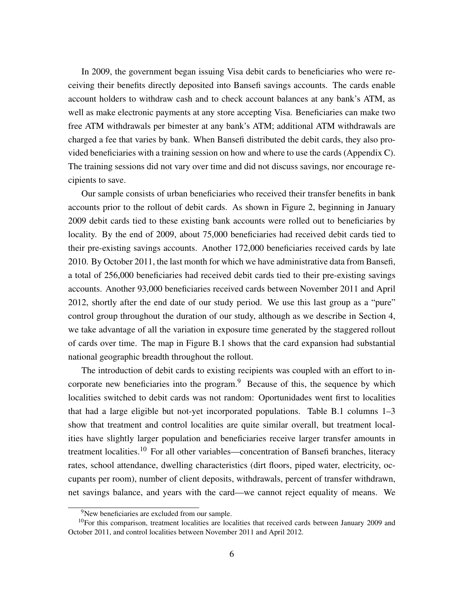In 2009, the government began issuing Visa debit cards to beneficiaries who were receiving their benefits directly deposited into Bansefi savings accounts. The cards enable account holders to withdraw cash and to check account balances at any bank's ATM, as well as make electronic payments at any store accepting Visa. Beneficiaries can make two free ATM withdrawals per bimester at any bank's ATM; additional ATM withdrawals are charged a fee that varies by bank. When Bansefi distributed the debit cards, they also provided beneficiaries with a training session on how and where to use the cards (Appendix [C\)](#page-56-0). The training sessions did not vary over time and did not discuss savings, nor encourage recipients to save.

Our sample consists of urban beneficiaries who received their transfer benefits in bank accounts prior to the rollout of debit cards. As shown in Figure [2,](#page-36-0) beginning in January 2009 debit cards tied to these existing bank accounts were rolled out to beneficiaries by locality. By the end of 2009, about 75,000 beneficiaries had received debit cards tied to their pre-existing savings accounts. Another 172,000 beneficiaries received cards by late 2010. By October 2011, the last month for which we have administrative data from Bansefi, a total of 256,000 beneficiaries had received debit cards tied to their pre-existing savings accounts. Another 93,000 beneficiaries received cards between November 2011 and April 2012, shortly after the end date of our study period. We use this last group as a "pure" control group throughout the duration of our study, although as we describe in Section [4,](#page-10-0) we take advantage of all the variation in exposure time generated by the staggered rollout of cards over time. The map in Figure [B.1](#page-46-0) shows that the card expansion had substantial national geographic breadth throughout the rollout.

The introduction of debit cards to existing recipients was coupled with an effort to incorporate new beneficiaries into the program. $9$  Because of this, the sequence by which localities switched to debit cards was not random: Oportunidades went first to localities that had a large eligible but not-yet incorporated populations. Table [B.1](#page-53-0) columns 1–3 show that treatment and control localities are quite similar overall, but treatment localities have slightly larger population and beneficiaries receive larger transfer amounts in treatment localities.<sup>[10](#page-7-1)</sup> For all other variables—concentration of Bansefi branches, literacy rates, school attendance, dwelling characteristics (dirt floors, piped water, electricity, occupants per room), number of client deposits, withdrawals, percent of transfer withdrawn, net savings balance, and years with the card—we cannot reject equality of means. We

<span id="page-7-1"></span><span id="page-7-0"></span><sup>9</sup>New beneficiaries are excluded from our sample.

 $10$ For this comparison, treatment localities are localities that received cards between January 2009 and October 2011, and control localities between November 2011 and April 2012.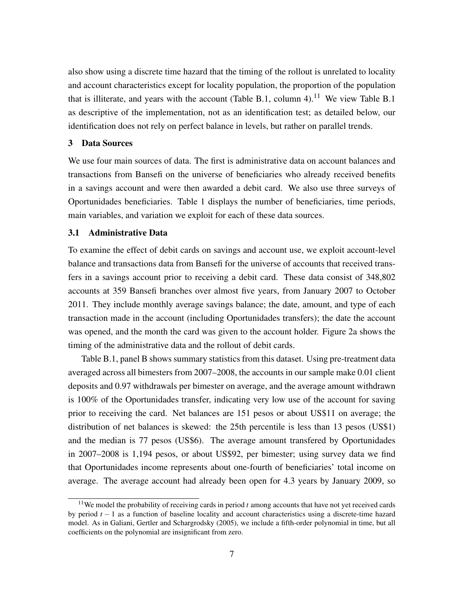also show using a discrete time hazard that the timing of the rollout is unrelated to locality and account characteristics except for locality population, the proportion of the population that is illiterate, and years with the account (Table [B.1,](#page-53-0) column 4).<sup>[11](#page-8-0)</sup> We view Table [B.1](#page-53-0) as descriptive of the implementation, not as an identification test; as detailed below, our identification does not rely on perfect balance in levels, but rather on parallel trends.

### <span id="page-8-1"></span>3 Data Sources

We use four main sources of data. The first is administrative data on account balances and transactions from Bansefi on the universe of beneficiaries who already received benefits in a savings account and were then awarded a debit card. We also use three surveys of Oportunidades beneficiaries. Table [1](#page-33-5) displays the number of beneficiaries, time periods, main variables, and variation we exploit for each of these data sources.

### 3.1 Administrative Data

To examine the effect of debit cards on savings and account use, we exploit account-level balance and transactions data from Bansefi for the universe of accounts that received transfers in a savings account prior to receiving a debit card. These data consist of 348,802 accounts at 359 Bansefi branches over almost five years, from January 2007 to October 2011. They include monthly average savings balance; the date, amount, and type of each transaction made in the account (including Oportunidades transfers); the date the account was opened, and the month the card was given to the account holder. Figure [2a](#page-36-0) shows the timing of the administrative data and the rollout of debit cards.

Table [B.1,](#page-53-0) panel B shows summary statistics from this dataset. Using pre-treatment data averaged across all bimesters from 2007–2008, the accounts in our sample make 0.01 client deposits and 0.97 withdrawals per bimester on average, and the average amount withdrawn is 100% of the Oportunidades transfer, indicating very low use of the account for saving prior to receiving the card. Net balances are 151 pesos or about US\$11 on average; the distribution of net balances is skewed: the 25th percentile is less than 13 pesos (US\$1) and the median is 77 pesos (US\$6). The average amount transfered by Oportunidades in 2007–2008 is 1,194 pesos, or about US\$92, per bimester; using survey data we find that Oportunidades income represents about one-fourth of beneficiaries' total income on average. The average account had already been open for 4.3 years by January 2009, so

<span id="page-8-0"></span><sup>&</sup>lt;sup>11</sup>We model the probability of receiving cards in period *t* among accounts that have not yet received cards by period *t* − 1 as a function of baseline locality and account characteristics using a discrete-time hazard model. As in [Galiani, Gertler and Schargrodsky](#page-32-12) [\(2005\)](#page-32-12), we include a fifth-order polynomial in time, but all coefficients on the polynomial are insignificant from zero.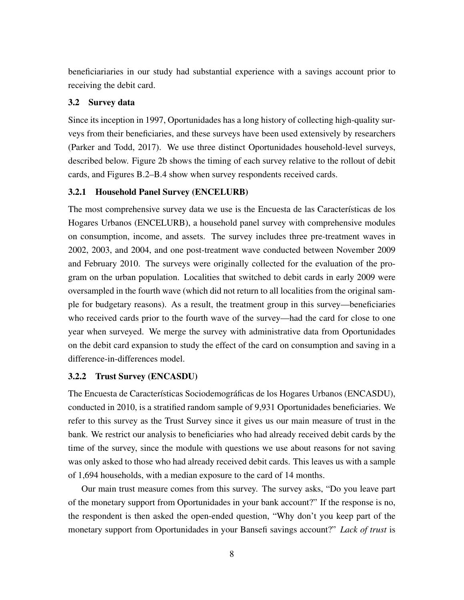beneficiariaries in our study had substantial experience with a savings account prior to receiving the debit card.

## <span id="page-9-0"></span>3.2 Survey data

Since its inception in 1997, Oportunidades has a long history of collecting high-quality surveys from their beneficiaries, and these surveys have been used extensively by researchers [\(Parker and Todd, 2017\)](#page-33-4). We use three distinct Oportunidades household-level surveys, described below. Figure [2b](#page-36-0) shows the timing of each survey relative to the rollout of debit cards, and Figures [B.2](#page-47-0)[–B.4](#page-48-0) show when survey respondents received cards.

## 3.2.1 Household Panel Survey (ENCELURB)

The most comprehensive survey data we use is the Encuesta de las Características de los Hogares Urbanos (ENCELURB), a household panel survey with comprehensive modules on consumption, income, and assets. The survey includes three pre-treatment waves in 2002, 2003, and 2004, and one post-treatment wave conducted between November 2009 and February 2010. The surveys were originally collected for the evaluation of the program on the urban population. Localities that switched to debit cards in early 2009 were oversampled in the fourth wave (which did not return to all localities from the original sample for budgetary reasons). As a result, the treatment group in this survey—beneficiaries who received cards prior to the fourth wave of the survey—had the card for close to one year when surveyed. We merge the survey with administrative data from Oportunidades on the debit card expansion to study the effect of the card on consumption and saving in a difference-in-differences model.

## 3.2.2 Trust Survey (ENCASDU)

The Encuesta de Características Sociodemográficas de los Hogares Urbanos (ENCASDU), conducted in 2010, is a stratified random sample of 9,931 Oportunidades beneficiaries. We refer to this survey as the Trust Survey since it gives us our main measure of trust in the bank. We restrict our analysis to beneficiaries who had already received debit cards by the time of the survey, since the module with questions we use about reasons for not saving was only asked to those who had already received debit cards. This leaves us with a sample of 1,694 households, with a median exposure to the card of 14 months.

Our main trust measure comes from this survey. The survey asks, "Do you leave part of the monetary support from Oportunidades in your bank account?" If the response is no, the respondent is then asked the open-ended question, "Why don't you keep part of the monetary support from Oportunidades in your Bansefi savings account?" *Lack of trust* is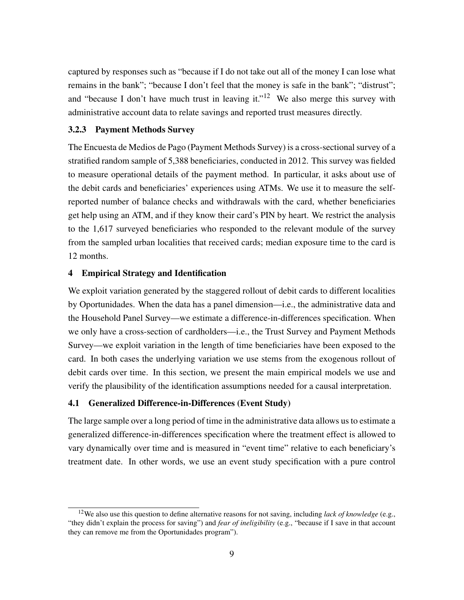captured by responses such as "because if I do not take out all of the money I can lose what remains in the bank"; "because I don't feel that the money is safe in the bank"; "distrust"; and "because I don't have much trust in leaving it."<sup>[12](#page-10-1)</sup> We also merge this survey with administrative account data to relate savings and reported trust measures directly.

### 3.2.3 Payment Methods Survey

The Encuesta de Medios de Pago (Payment Methods Survey) is a cross-sectional survey of a stratified random sample of 5,388 beneficiaries, conducted in 2012. This survey was fielded to measure operational details of the payment method. In particular, it asks about use of the debit cards and beneficiaries' experiences using ATMs. We use it to measure the selfreported number of balance checks and withdrawals with the card, whether beneficiaries get help using an ATM, and if they know their card's PIN by heart. We restrict the analysis to the 1,617 surveyed beneficiaries who responded to the relevant module of the survey from the sampled urban localities that received cards; median exposure time to the card is 12 months.

### <span id="page-10-0"></span>4 Empirical Strategy and Identification

We exploit variation generated by the staggered rollout of debit cards to different localities by Oportunidades. When the data has a panel dimension—i.e., the administrative data and the Household Panel Survey—we estimate a difference-in-differences specification. When we only have a cross-section of cardholders—i.e., the Trust Survey and Payment Methods Survey—we exploit variation in the length of time beneficiaries have been exposed to the card. In both cases the underlying variation we use stems from the exogenous rollout of debit cards over time. In this section, we present the main empirical models we use and verify the plausibility of the identification assumptions needed for a causal interpretation.

### 4.1 Generalized Difference-in-Differences (Event Study)

The large sample over a long period of time in the administrative data allows us to estimate a generalized difference-in-differences specification where the treatment effect is allowed to vary dynamically over time and is measured in "event time" relative to each beneficiary's treatment date. In other words, we use an event study specification with a pure control

<span id="page-10-1"></span><sup>12</sup>We also use this question to define alternative reasons for not saving, including *lack of knowledge* (e.g., "they didn't explain the process for saving") and *fear of ineligibility* (e.g., "because if I save in that account they can remove me from the Oportunidades program").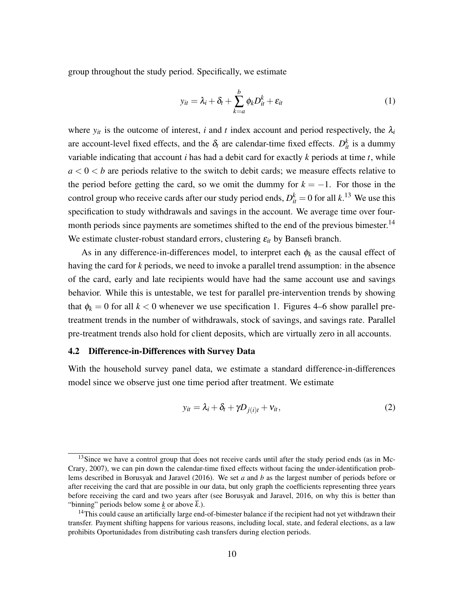group throughout the study period. Specifically, we estimate

<span id="page-11-2"></span>
$$
y_{it} = \lambda_i + \delta_t + \sum_{k=a}^{b} \phi_k D_{it}^k + \varepsilon_{it}
$$
 (1)

where  $y_{it}$  is the outcome of interest, *i* and *t* index account and period respectively, the  $\lambda_i$ are account-level fixed effects, and the  $\delta_t$  are calendar-time fixed effects.  $D_{it}^k$  is a dummy variable indicating that account *i* has had a debit card for exactly *k* periods at time *t*, while  $a < 0 < b$  are periods relative to the switch to debit cards; we measure effects relative to the period before getting the card, so we omit the dummy for  $k = -1$ . For those in the control group who receive cards after our study period ends,  $D_{it}^k = 0$  for all  $k$ .<sup>[13](#page-11-0)</sup> We use this specification to study withdrawals and savings in the account. We average time over four-month periods since payments are sometimes shifted to the end of the previous bimester.<sup>[14](#page-11-1)</sup> We estimate cluster-robust standard errors, clustering  $\varepsilon_{it}$  by Bansefi branch.

As in any difference-in-differences model, to interpret each  $\phi_k$  as the causal effect of having the card for *k* periods, we need to invoke a parallel trend assumption: in the absence of the card, early and late recipients would have had the same account use and savings behavior. While this is untestable, we test for parallel pre-intervention trends by showing that  $\phi_k = 0$  for all  $k < 0$  whenever we use specification [1.](#page-11-2) Figures [4–](#page-37-0)[6](#page-38-0) show parallel pretreatment trends in the number of withdrawals, stock of savings, and savings rate. Parallel pre-treatment trends also hold for client deposits, which are virtually zero in all accounts.

## 4.2 Difference-in-Differences with Survey Data

With the household survey panel data, we estimate a standard difference-in-differences model since we observe just one time period after treatment. We estimate

<span id="page-11-3"></span>
$$
y_{it} = \lambda_i + \delta_t + \gamma D_{j(i)t} + v_{it}, \qquad (2)
$$

<span id="page-11-0"></span> $13$ Since we have a control group that does not receive cards until after the study period ends (as in [Mc-](#page-32-13)[Crary, 2007\)](#page-32-13), we can pin down the calendar-time fixed effects without facing the under-identification problems described in [Borusyak and Jaravel](#page-31-11) [\(2016\)](#page-31-11). We set *a* and *b* as the largest number of periods before or after receiving the card that are possible in our data, but only graph the coefficients representing three years before receiving the card and two years after (see [Borusyak and Jaravel, 2016,](#page-31-11) on why this is better than "binning" periods below some *k* or above  $\bar{k}$ .).

<span id="page-11-1"></span><sup>&</sup>lt;sup>14</sup>This could cause an artificially large end-of-bimester balance if the recipient had not yet withdrawn their transfer. Payment shifting happens for various reasons, including local, state, and federal elections, as a law prohibits Oportunidades from distributing cash transfers during election periods.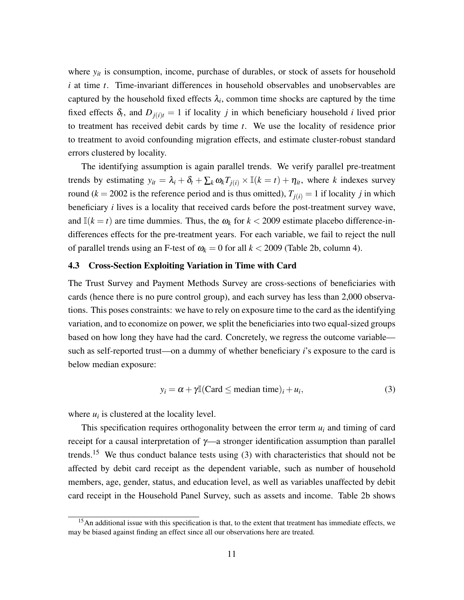where  $y_{it}$  is consumption, income, purchase of durables, or stock of assets for household *i* at time *t*. Time-invariant differences in household observables and unobservables are captured by the household fixed effects  $\lambda_i$ , common time shocks are captured by the time fixed effects  $\delta_t$ , and  $D_{j(i)t} = 1$  if locality *j* in which beneficiary household *i* lived prior to treatment has received debit cards by time *t*. We use the locality of residence prior to treatment to avoid confounding migration effects, and estimate cluster-robust standard errors clustered by locality.

The identifying assumption is again parallel trends. We verify parallel pre-treatment trends by estimating  $y_{it} = \lambda_i + \delta_t + \sum_k \omega_k T_{j(i)} \times \mathbb{I}(k = t) + \eta_{it}$ , where *k* indexes survey round ( $k = 2002$  is the reference period and is thus omitted),  $T_{i(i)} = 1$  if locality *j* in which beneficiary *i* lives is a locality that received cards before the post-treatment survey wave, and  $\mathbb{I}(k = t)$  are time dummies. Thus, the  $\omega_k$  for  $k < 2009$  estimate placebo difference-indifferences effects for the pre-treatment years. For each variable, we fail to reject the null of parallel trends using an F-test of  $\omega_k = 0$  for all  $k < 2009$  (Table [2b](#page-34-0), column 4).

#### 4.3 Cross-Section Exploiting Variation in Time with Card

The Trust Survey and Payment Methods Survey are cross-sections of beneficiaries with cards (hence there is no pure control group), and each survey has less than 2,000 observations. This poses constraints: we have to rely on exposure time to the card as the identifying variation, and to economize on power, we split the beneficiaries into two equal-sized groups based on how long they have had the card. Concretely, we regress the outcome variable such as self-reported trust—on a dummy of whether beneficiary *i*'s exposure to the card is below median exposure:

<span id="page-12-1"></span>
$$
y_i = \alpha + \gamma \mathbb{I}(\text{Card} \le \text{median time})_i + u_i,
$$
\n(3)

where  $u_i$  is clustered at the locality level.

This specification requires orthogonality between the error term  $u_i$  and timing of card receipt for a causal interpretation of  $\gamma$ —a stronger identification assumption than parallel trends.<sup>[15](#page-12-0)</sup> We thus conduct balance tests using  $(3)$  with characteristics that should not be affected by debit card receipt as the dependent variable, such as number of household members, age, gender, status, and education level, as well as variables unaffected by debit card receipt in the Household Panel Survey, such as assets and income. Table [2b](#page-34-0) shows

<span id="page-12-0"></span><sup>&</sup>lt;sup>15</sup>An additional issue with this specification is that, to the extent that treatment has immediate effects, we may be biased against finding an effect since all our observations here are treated.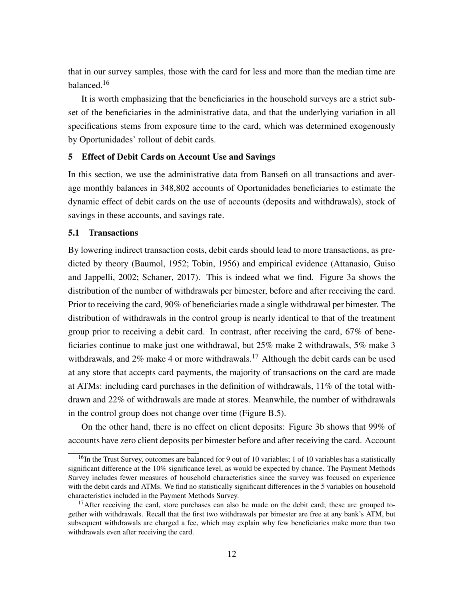that in our survey samples, those with the card for less and more than the median time are balanced.<sup>[16](#page-13-0)</sup>

It is worth emphasizing that the beneficiaries in the household surveys are a strict subset of the beneficiaries in the administrative data, and that the underlying variation in all specifications stems from exposure time to the card, which was determined exogenously by Oportunidades' rollout of debit cards.

### <span id="page-13-3"></span>5 Effect of Debit Cards on Account Use and Savings

In this section, we use the administrative data from Bansefi on all transactions and average monthly balances in 348,802 accounts of Oportunidades beneficiaries to estimate the dynamic effect of debit cards on the use of accounts (deposits and withdrawals), stock of savings in these accounts, and savings rate.

### <span id="page-13-2"></span>5.1 Transactions

By lowering indirect transaction costs, debit cards should lead to more transactions, as predicted by theory [\(Baumol, 1952;](#page-31-12) [Tobin, 1956\)](#page-33-6) and empirical evidence [\(Attanasio, Guiso](#page-30-3) [and Jappelli, 2002;](#page-30-3) [Schaner, 2017\)](#page-33-1). This is indeed what we find. Figure [3a](#page-37-0) shows the distribution of the number of withdrawals per bimester, before and after receiving the card. Prior to receiving the card, 90% of beneficiaries made a single withdrawal per bimester. The distribution of withdrawals in the control group is nearly identical to that of the treatment group prior to receiving a debit card. In contrast, after receiving the card, 67% of beneficiaries continue to make just one withdrawal, but 25% make 2 withdrawals, 5% make 3 withdrawals, and  $2\%$  make 4 or more withdrawals.<sup>[17](#page-13-1)</sup> Although the debit cards can be used at any store that accepts card payments, the majority of transactions on the card are made at ATMs: including card purchases in the definition of withdrawals, 11% of the total withdrawn and 22% of withdrawals are made at stores. Meanwhile, the number of withdrawals in the control group does not change over time (Figure [B.5\)](#page-48-1).

On the other hand, there is no effect on client deposits: Figure [3b](#page-37-0) shows that 99% of accounts have zero client deposits per bimester before and after receiving the card. Account

<span id="page-13-0"></span> $16$ In the Trust Survey, outcomes are balanced for 9 out of 10 variables; 1 of 10 variables has a statistically significant difference at the 10% significance level, as would be expected by chance. The Payment Methods Survey includes fewer measures of household characteristics since the survey was focused on experience with the debit cards and ATMs. We find no statistically significant differences in the 5 variables on household characteristics included in the Payment Methods Survey.

<span id="page-13-1"></span><sup>&</sup>lt;sup>17</sup>After receiving the card, store purchases can also be made on the debit card; these are grouped together with withdrawals. Recall that the first two withdrawals per bimester are free at any bank's ATM, but subsequent withdrawals are charged a fee, which may explain why few beneficiaries make more than two withdrawals even after receiving the card.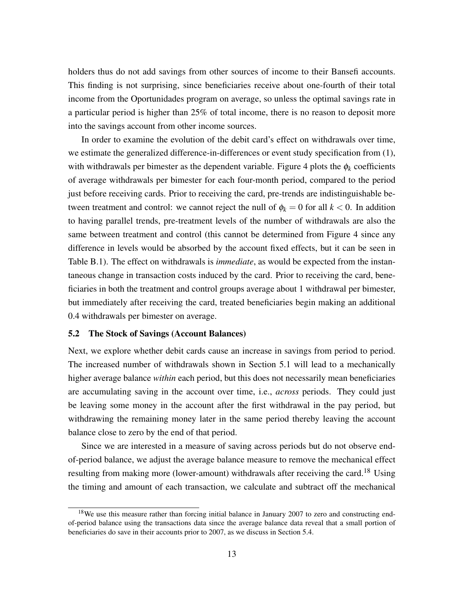holders thus do not add savings from other sources of income to their Bansefi accounts. This finding is not surprising, since beneficiaries receive about one-fourth of their total income from the Oportunidades program on average, so unless the optimal savings rate in a particular period is higher than 25% of total income, there is no reason to deposit more into the savings account from other income sources.

In order to examine the evolution of the debit card's effect on withdrawals over time, we estimate the generalized difference-in-differences or event study specification from [\(1\)](#page-11-2), with withdrawals per bimester as the dependent variable. Figure [4](#page-37-0) plots the  $\phi_k$  coefficients of average withdrawals per bimester for each four-month period, compared to the period just before receiving cards. Prior to receiving the card, pre-trends are indistinguishable between treatment and control: we cannot reject the null of  $\phi_k = 0$  for all  $k < 0$ . In addition to having parallel trends, pre-treatment levels of the number of withdrawals are also the same between treatment and control (this cannot be determined from Figure [4](#page-37-0) since any difference in levels would be absorbed by the account fixed effects, but it can be seen in Table [B.1\)](#page-53-0). The effect on withdrawals is *immediate*, as would be expected from the instantaneous change in transaction costs induced by the card. Prior to receiving the card, beneficiaries in both the treatment and control groups average about 1 withdrawal per bimester, but immediately after receiving the card, treated beneficiaries begin making an additional 0.4 withdrawals per bimester on average.

## <span id="page-14-1"></span>5.2 The Stock of Savings (Account Balances)

Next, we explore whether debit cards cause an increase in savings from period to period. The increased number of withdrawals shown in Section [5.1](#page-13-2) will lead to a mechanically higher average balance *within* each period, but this does not necessarily mean beneficiaries are accumulating saving in the account over time, i.e., *across* periods. They could just be leaving some money in the account after the first withdrawal in the pay period, but withdrawing the remaining money later in the same period thereby leaving the account balance close to zero by the end of that period.

Since we are interested in a measure of saving across periods but do not observe endof-period balance, we adjust the average balance measure to remove the mechanical effect resulting from making more (lower-amount) withdrawals after receiving the card.<sup>[18](#page-14-0)</sup> Using the timing and amount of each transaction, we calculate and subtract off the mechanical

<span id="page-14-0"></span><sup>&</sup>lt;sup>18</sup>We use this measure rather than forcing initial balance in January 2007 to zero and constructing endof-period balance using the transactions data since the average balance data reveal that a small portion of beneficiaries do save in their accounts prior to 2007, as we discuss in Section [5.4.](#page-18-0)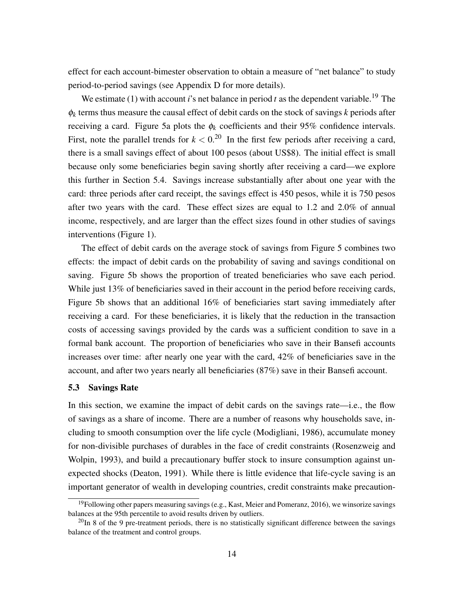effect for each account-bimester observation to obtain a measure of "net balance" to study period-to-period savings (see Appendix [D](#page-59-0) for more details).

We estimate [\(1\)](#page-11-2) with account *i*'s net balance in period *t* as the dependent variable.<sup>[19](#page-15-0)</sup> The φ*k* terms thus measure the causal effect of debit cards on the stock of savings *k* periods after receiving a card. Figure [5a](#page-38-0) plots the  $\phi_k$  coefficients and their 95% confidence intervals. First, note the parallel trends for  $k < 0$ <sup>[20](#page-15-1)</sup> In the first few periods after receiving a card, there is a small savings effect of about 100 pesos (about US\$8). The initial effect is small because only some beneficiaries begin saving shortly after receiving a card—we explore this further in Section [5.4.](#page-18-0) Savings increase substantially after about one year with the card: three periods after card receipt, the savings effect is 450 pesos, while it is 750 pesos after two years with the card. These effect sizes are equal to 1.2 and 2.0% of annual income, respectively, and are larger than the effect sizes found in other studies of savings interventions (Figure [1\)](#page-36-0).

The effect of debit cards on the average stock of savings from Figure [5](#page-38-0) combines two effects: the impact of debit cards on the probability of saving and savings conditional on saving. Figure [5b](#page-38-0) shows the proportion of treated beneficiaries who save each period. While just 13% of beneficiaries saved in their account in the period before receiving cards, Figure [5b](#page-38-0) shows that an additional 16% of beneficiaries start saving immediately after receiving a card. For these beneficiaries, it is likely that the reduction in the transaction costs of accessing savings provided by the cards was a sufficient condition to save in a formal bank account. The proportion of beneficiaries who save in their Bansefi accounts increases over time: after nearly one year with the card, 42% of beneficiaries save in the account, and after two years nearly all beneficiaries (87%) save in their Bansefi account.

### <span id="page-15-2"></span>5.3 Savings Rate

In this section, we examine the impact of debit cards on the savings rate—i.e., the flow of savings as a share of income. There are a number of reasons why households save, including to smooth consumption over the life cycle [\(Modigliani, 1986\)](#page-32-14), accumulate money for non-divisible purchases of durables in the face of credit constraints [\(Rosenzweig and](#page-33-7) [Wolpin, 1993\)](#page-33-7), and build a precautionary buffer stock to insure consumption against unexpected shocks [\(Deaton, 1991\)](#page-31-13). While there is little evidence that life-cycle saving is an important generator of wealth in developing countries, credit constraints make precaution-

<span id="page-15-0"></span><sup>&</sup>lt;sup>19</sup>Following other papers measuring savings (e.g., [Kast, Meier and Pomeranz, 2016\)](#page-32-6), we winsorize savings balances at the 95th percentile to avoid results driven by outliers.

<span id="page-15-1"></span> $^{20}$ In 8 of the 9 pre-treatment periods, there is no statistically significant difference between the savings balance of the treatment and control groups.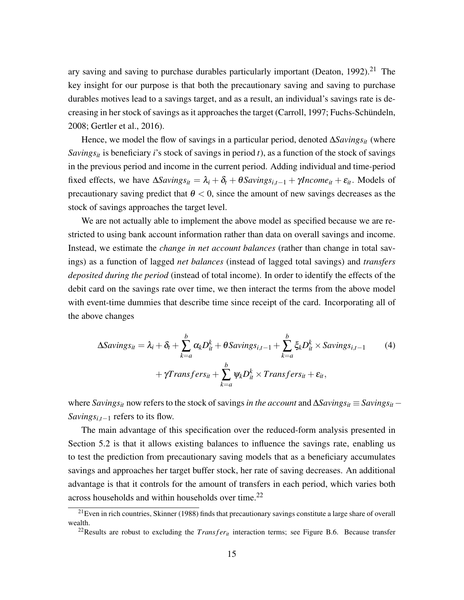ary saving and saving to purchase durables particularly important (Deaton,  $1992$ ).<sup>[21](#page-16-0)</sup> The key insight for our purpose is that both the precautionary saving and saving to purchase durables motives lead to a savings target, and as a result, an individual's savings rate is decreasing in her stock of savings as it approaches the target [\(Carroll, 1997;](#page-31-8) [Fuchs-Schündeln,](#page-32-15) [2008;](#page-32-15) [Gertler et al., 2016\)](#page-32-16).

Hence, we model the flow of savings in a particular period, denoted ∆*Savings*<sub>*it*</sub> (where *Savings<sub>it</sub>* is beneficiary *i*'s stock of savings in period *t*), as a function of the stock of savings in the previous period and income in the current period. Adding individual and time-period fixed effects, we have  $\Delta Savings_{it} = \lambda_i + \delta_t + \theta Savings_{i,t-1} + \gamma Income_{it} + \varepsilon_{it}$ . Models of precautionary saving predict that  $\theta < 0$ , since the amount of new savings decreases as the stock of savings approaches the target level.

We are not actually able to implement the above model as specified because we are restricted to using bank account information rather than data on overall savings and income. Instead, we estimate the *change in net account balances* (rather than change in total savings) as a function of lagged *net balances* (instead of lagged total savings) and *transfers deposited during the period* (instead of total income). In order to identify the effects of the debit card on the savings rate over time, we then interact the terms from the above model with event-time dummies that describe time since receipt of the card. Incorporating all of the above changes

<span id="page-16-2"></span>
$$
\Delta Savings_{it} = \lambda_i + \delta_t + \sum_{k=a}^{b} \alpha_k D_{it}^k + \theta Savings_{i,t-1} + \sum_{k=a}^{b} \xi_k D_{it}^k \times Savings_{i,t-1}
$$
(4)  
+  $\gamma Transfers_{it} + \sum_{k=a}^{b} \psi_k D_{it}^k \times Transfers_{it} + \varepsilon_{it},$ 

where *Savings<sub>it</sub>* now refers to the stock of savings *in the account* and ∆*Savings<sub>it</sub>* ≡ *Savings*<sub>it</sub> − *Savings*<sub>*i*,*t*−1</sub> refers to its flow.

The main advantage of this specification over the reduced-form analysis presented in Section [5.2](#page-14-1) is that it allows existing balances to influence the savings rate, enabling us to test the prediction from precautionary saving models that as a beneficiary accumulates savings and approaches her target buffer stock, her rate of saving decreases. An additional advantage is that it controls for the amount of transfers in each period, which varies both across households and within households over time.<sup>[22](#page-16-1)</sup>

<span id="page-16-0"></span> $21$ Even in rich countries, [Skinner](#page-33-8) [\(1988\)](#page-33-8) finds that precautionary savings constitute a large share of overall wealth.

<span id="page-16-1"></span><sup>&</sup>lt;sup>22</sup>Results are robust to excluding the *Transfer<sub>it</sub>* interaction terms; see Figure [B.6.](#page-49-0) Because transfer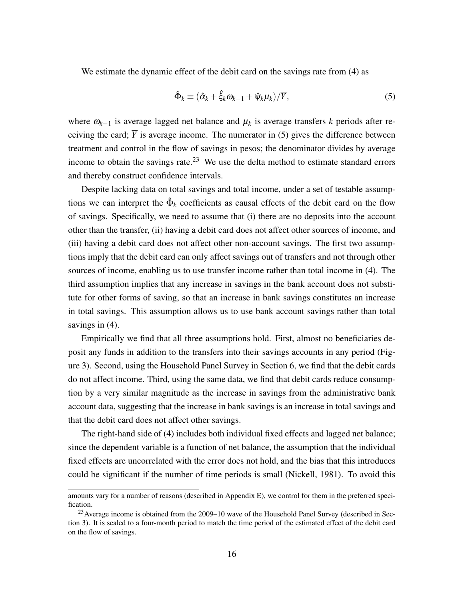We estimate the dynamic effect of the debit card on the savings rate from [\(4\)](#page-16-2) as

<span id="page-17-0"></span>
$$
\hat{\Phi}_k \equiv (\hat{\alpha}_k + \hat{\xi}_k \omega_{k-1} + \hat{\psi}_k \mu_k) / \overline{Y}, \tag{5}
$$

where ω*k*−<sup>1</sup> is average lagged net balance and µ*<sup>k</sup>* is average transfers *k* periods after receiving the card;  $\overline{Y}$  is average income. The numerator in [\(5\)](#page-17-0) gives the difference between treatment and control in the flow of savings in pesos; the denominator divides by average income to obtain the savings rate.<sup>[23](#page-17-1)</sup> We use the delta method to estimate standard errors and thereby construct confidence intervals.

Despite lacking data on total savings and total income, under a set of testable assumptions we can interpret the  $\hat{\Phi}_k$  coefficients as causal effects of the debit card on the flow of savings. Specifically, we need to assume that (i) there are no deposits into the account other than the transfer, (ii) having a debit card does not affect other sources of income, and (iii) having a debit card does not affect other non-account savings. The first two assumptions imply that the debit card can only affect savings out of transfers and not through other sources of income, enabling us to use transfer income rather than total income in [\(4\)](#page-16-2). The third assumption implies that any increase in savings in the bank account does not substitute for other forms of saving, so that an increase in bank savings constitutes an increase in total savings. This assumption allows us to use bank account savings rather than total savings in  $(4)$ .

Empirically we find that all three assumptions hold. First, almost no beneficiaries deposit any funds in addition to the transfers into their savings accounts in any period (Figure [3\)](#page-37-0). Second, using the Household Panel Survey in Section [6,](#page-19-0) we find that the debit cards do not affect income. Third, using the same data, we find that debit cards reduce consumption by a very similar magnitude as the increase in savings from the administrative bank account data, suggesting that the increase in bank savings is an increase in total savings and that the debit card does not affect other savings.

The right-hand side of [\(4\)](#page-16-2) includes both individual fixed effects and lagged net balance; since the dependent variable is a function of net balance, the assumption that the individual fixed effects are uncorrelated with the error does not hold, and the bias that this introduces could be significant if the number of time periods is small [\(Nickell, 1981\)](#page-32-17). To avoid this

amounts vary for a number of reasons (described in Appendix [E\)](#page-62-0), we control for them in the preferred specification.

<span id="page-17-1"></span><sup>&</sup>lt;sup>23</sup> Average income is obtained from the 2009–10 wave of the Household Panel Survey (described in Section [3\)](#page-8-1). It is scaled to a four-month period to match the time period of the estimated effect of the debit card on the flow of savings.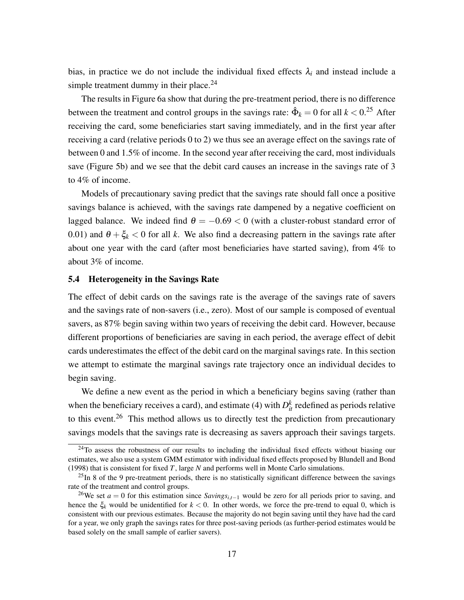bias, in practice we do not include the individual fixed effects  $\lambda_i$  and instead include a simple treatment dummy in their place. $24$ 

The results in Figure [6a](#page-38-0) show that during the pre-treatment period, there is no difference between the treatment and control groups in the savings rate:  $\hat{\Phi}_k = 0$  for all  $k < 0$ .<sup>[25](#page-18-2)</sup> After receiving the card, some beneficiaries start saving immediately, and in the first year after receiving a card (relative periods 0 to 2) we thus see an average effect on the savings rate of between 0 and 1.5% of income. In the second year after receiving the card, most individuals save (Figure [5b\)](#page-38-0) and we see that the debit card causes an increase in the savings rate of 3 to 4% of income.

Models of precautionary saving predict that the savings rate should fall once a positive savings balance is achieved, with the savings rate dampened by a negative coefficient on lagged balance. We indeed find  $\theta = -0.69 < 0$  (with a cluster-robust standard error of 0.01) and  $\theta + \xi_k < 0$  for all k. We also find a decreasing pattern in the savings rate after about one year with the card (after most beneficiaries have started saving), from 4% to about 3% of income.

#### <span id="page-18-0"></span>5.4 Heterogeneity in the Savings Rate

The effect of debit cards on the savings rate is the average of the savings rate of savers and the savings rate of non-savers (i.e., zero). Most of our sample is composed of eventual savers, as 87% begin saving within two years of receiving the debit card. However, because different proportions of beneficiaries are saving in each period, the average effect of debit cards underestimates the effect of the debit card on the marginal savings rate. In this section we attempt to estimate the marginal savings rate trajectory once an individual decides to begin saving.

We define a new event as the period in which a beneficiary begins saving (rather than when the beneficiary receives a card), and estimate [\(4\)](#page-16-2) with  $D_{it}^k$  redefined as periods relative to this event.<sup>[26](#page-18-3)</sup> This method allows us to directly test the prediction from precautionary savings models that the savings rate is decreasing as savers approach their savings targets.

<span id="page-18-1"></span><sup>&</sup>lt;sup>24</sup>To assess the robustness of our results to including the individual fixed effects without biasing our estimates, we also use a system GMM estimator with individual fixed effects proposed by [Blundell and Bond](#page-31-15) [\(1998\)](#page-31-15) that is consistent for fixed *T*, large *N* and performs well in Monte Carlo simulations.

<span id="page-18-2"></span> $^{25}$ In 8 of the 9 pre-treatment periods, there is no statistically significant difference between the savings rate of the treatment and control groups.

<span id="page-18-3"></span><sup>26</sup>We set *a* = 0 for this estimation since *Savingsi*,*t*−<sup>1</sup> would be zero for all periods prior to saving, and hence the ξ*<sup>k</sup>* would be unidentified for *k* < 0. In other words, we force the pre-trend to equal 0, which is consistent with our previous estimates. Because the majority do not begin saving until they have had the card for a year, we only graph the savings rates for three post-saving periods (as further-period estimates would be based solely on the small sample of earlier savers).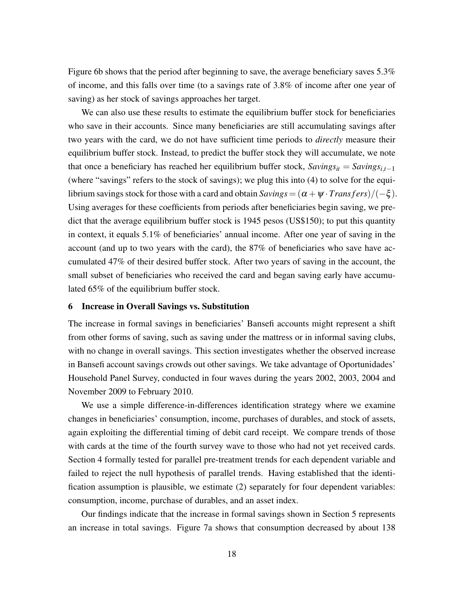Figure [6b](#page-38-0) shows that the period after beginning to save, the average beneficiary saves 5.3% of income, and this falls over time (to a savings rate of 3.8% of income after one year of saving) as her stock of savings approaches her target.

We can also use these results to estimate the equilibrium buffer stock for beneficiaries who save in their accounts. Since many beneficiaries are still accumulating savings after two years with the card, we do not have sufficient time periods to *directly* measure their equilibrium buffer stock. Instead, to predict the buffer stock they will accumulate, we note that once a beneficiary has reached her equilibrium buffer stock,  $Savings_{it} = Savings_{it-1}$ (where "savings" refers to the stock of savings); we plug this into [\(4\)](#page-16-2) to solve for the equilibrium savings stock for those with a card and obtain  $Savings = (\alpha + \psi \cdot Transfers)/(-\xi)$ . Using averages for these coefficients from periods after beneficiaries begin saving, we predict that the average equilibrium buffer stock is 1945 pesos (US\$150); to put this quantity in context, it equals 5.1% of beneficiaries' annual income. After one year of saving in the account (and up to two years with the card), the 87% of beneficiaries who save have accumulated 47% of their desired buffer stock. After two years of saving in the account, the small subset of beneficiaries who received the card and began saving early have accumulated 65% of the equilibrium buffer stock.

### <span id="page-19-0"></span>6 Increase in Overall Savings vs. Substitution

The increase in formal savings in beneficiaries' Bansefi accounts might represent a shift from other forms of saving, such as saving under the mattress or in informal saving clubs, with no change in overall savings. This section investigates whether the observed increase in Bansefi account savings crowds out other savings. We take advantage of Oportunidades' Household Panel Survey, conducted in four waves during the years 2002, 2003, 2004 and November 2009 to February 2010.

We use a simple difference-in-differences identification strategy where we examine changes in beneficiaries' consumption, income, purchases of durables, and stock of assets, again exploiting the differential timing of debit card receipt. We compare trends of those with cards at the time of the fourth survey wave to those who had not yet received cards. Section [4](#page-10-0) formally tested for parallel pre-treatment trends for each dependent variable and failed to reject the null hypothesis of parallel trends. Having established that the identification assumption is plausible, we estimate [\(2\)](#page-11-3) separately for four dependent variables: consumption, income, purchase of durables, and an asset index.

Our findings indicate that the increase in formal savings shown in Section [5](#page-13-3) represents an increase in total savings. Figure [7a](#page-39-0) shows that consumption decreased by about 138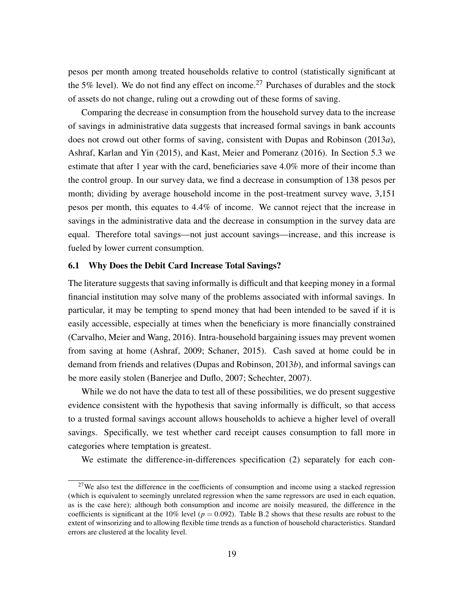pesos per month among treated households relative to control (statistically significant at the 5% level). We do not find any effect on income.<sup>[27](#page-20-0)</sup> Purchases of durables and the stock of assets do not change, ruling out a crowding out of these forms of saving.

Comparing the decrease in consumption from the household survey data to the increase of savings in administrative data suggests that increased formal savings in bank accounts does not crowd out other forms of saving, consistent with [Dupas and Robinson](#page-31-5) [\(2013](#page-31-5)*a*), [Ashraf, Karlan and Yin](#page-30-2) [\(2015\)](#page-30-2), and [Kast, Meier and Pomeranz](#page-32-6) [\(2016\)](#page-32-6). In Section [5.3](#page-15-2) we estimate that after 1 year with the card, beneficiaries save 4.0% more of their income than the control group. In our survey data, we find a decrease in consumption of 138 pesos per month; dividing by average household income in the post-treatment survey wave, 3,151 pesos per month, this equates to 4.4% of income. We cannot reject that the increase in savings in the administrative data and the decrease in consumption in the survey data are equal. Therefore total savings—not just account savings—increase, and this increase is fueled by lower current consumption.

### 6.1 Why Does the Debit Card Increase Total Savings?

The literature suggests that saving informally is difficult and that keeping money in a formal financial institution may solve many of the problems associated with informal savings. In particular, it may be tempting to spend money that had been intended to be saved if it is easily accessible, especially at times when the beneficiary is more financially constrained [\(Carvalho, Meier and Wang, 2016\)](#page-31-16). Intra-household bargaining issues may prevent women from saving at home [\(Ashraf, 2009;](#page-30-4) [Schaner, 2015\)](#page-33-9). Cash saved at home could be in demand from friends and relatives [\(Dupas and Robinson, 2013](#page-31-17)*b*), and informal savings can be more easily stolen [\(Banerjee and Duflo, 2007;](#page-30-5) [Schechter, 2007\)](#page-33-10).

While we do not have the data to test all of these possibilities, we do present suggestive evidence consistent with the hypothesis that saving informally is difficult, so that access to a trusted formal savings account allows households to achieve a higher level of overall savings. Specifically, we test whether card receipt causes consumption to fall more in categories where temptation is greatest.

We estimate the difference-in-differences specification [\(2\)](#page-11-3) separately for each con-

<span id="page-20-0"></span><sup>&</sup>lt;sup>27</sup>We also test the difference in the coefficients of consumption and income using a stacked regression (which is equivalent to seemingly unrelated regression when the same regressors are used in each equation, as is the case here); although both consumption and income are noisily measured, the difference in the coefficients is significant at the 10% level ( $p = 0.092$ ). Table [B.2](#page-54-0) shows that these results are robust to the extent of winsorizing and to allowing flexible time trends as a function of household characteristics. Standard errors are clustered at the locality level.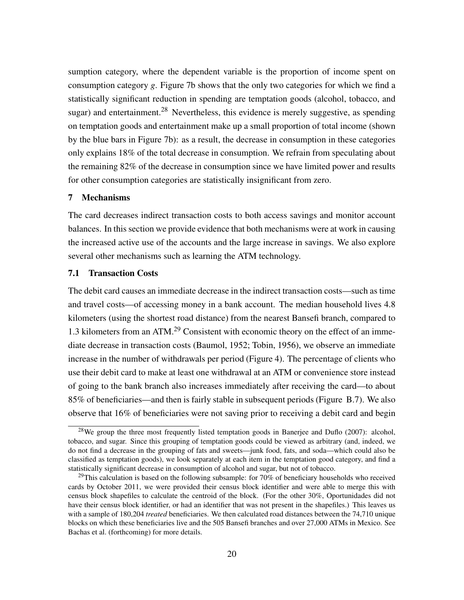sumption category, where the dependent variable is the proportion of income spent on consumption category *g*. Figure [7b](#page-39-0) shows that the only two categories for which we find a statistically significant reduction in spending are temptation goods (alcohol, tobacco, and sugar) and entertainment.<sup>[28](#page-21-0)</sup> Nevertheless, this evidence is merely suggestive, as spending on temptation goods and entertainment make up a small proportion of total income (shown by the blue bars in Figure [7b\)](#page-39-0): as a result, the decrease in consumption in these categories only explains 18% of the total decrease in consumption. We refrain from speculating about the remaining 82% of the decrease in consumption since we have limited power and results for other consumption categories are statistically insignificant from zero.

### 7 Mechanisms

The card decreases indirect transaction costs to both access savings and monitor account balances. In this section we provide evidence that both mechanisms were at work in causing the increased active use of the accounts and the large increase in savings. We also explore several other mechanisms such as learning the ATM technology.

## <span id="page-21-2"></span>7.1 Transaction Costs

The debit card causes an immediate decrease in the indirect transaction costs—such as time and travel costs—of accessing money in a bank account. The median household lives 4.8 kilometers (using the shortest road distance) from the nearest Bansefi branch, compared to 1.3 kilometers from an ATM.<sup>[29](#page-21-1)</sup> Consistent with economic theory on the effect of an immediate decrease in transaction costs [\(Baumol, 1952;](#page-31-12) [Tobin, 1956\)](#page-33-6), we observe an immediate increase in the number of withdrawals per period (Figure [4\)](#page-37-0). The percentage of clients who use their debit card to make at least one withdrawal at an ATM or convenience store instead of going to the bank branch also increases immediately after receiving the card—to about 85% of beneficiaries—and then is fairly stable in subsequent periods (Figure [B.7\)](#page-49-1). We also observe that 16% of beneficiaries were not saving prior to receiving a debit card and begin

<span id="page-21-0"></span><sup>&</sup>lt;sup>28</sup>We group the three most frequently listed temptation goods in [Banerjee and Duflo](#page-30-5) [\(2007\)](#page-30-5): alcohol, tobacco, and sugar. Since this grouping of temptation goods could be viewed as arbitrary (and, indeed, we do not find a decrease in the grouping of fats and sweets—junk food, fats, and soda—which could also be classified as temptation goods), we look separately at each item in the temptation good category, and find a statistically significant decrease in consumption of alcohol and sugar, but not of tobacco.

<span id="page-21-1"></span> $^{29}$ This calculation is based on the following subsample: for 70% of beneficiary households who received cards by October 2011, we were provided their census block identifier and were able to merge this with census block shapefiles to calculate the centroid of the block. (For the other 30%, Oportunidades did not have their census block identifier, or had an identifier that was not present in the shapefiles.) This leaves us with a sample of 180,204 *treated* beneficiaries. We then calculated road distances between the 74,710 unique blocks on which these beneficiaries live and the 505 Bansefi branches and over 27,000 ATMs in Mexico. See [Bachas et al.](#page-30-6) [\(forthcoming\)](#page-30-6) for more details.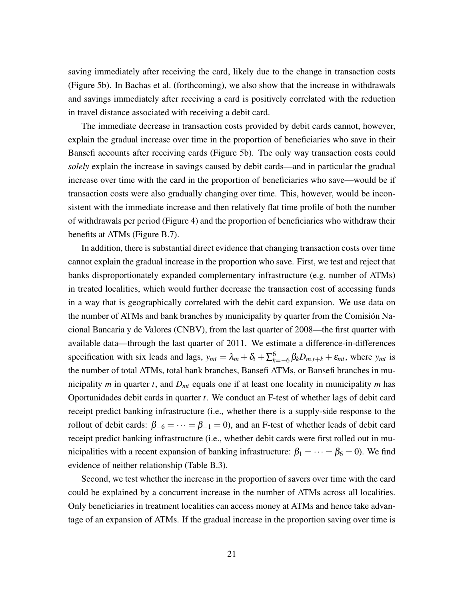saving immediately after receiving the card, likely due to the change in transaction costs (Figure [5b\)](#page-38-0). In [Bachas et al.](#page-30-6) [\(forthcoming\)](#page-30-6), we also show that the increase in withdrawals and savings immediately after receiving a card is positively correlated with the reduction in travel distance associated with receiving a debit card.

The immediate decrease in transaction costs provided by debit cards cannot, however, explain the gradual increase over time in the proportion of beneficiaries who save in their Bansefi accounts after receiving cards (Figure [5b\)](#page-38-0). The only way transaction costs could *solely* explain the increase in savings caused by debit cards—and in particular the gradual increase over time with the card in the proportion of beneficiaries who save—would be if transaction costs were also gradually changing over time. This, however, would be inconsistent with the immediate increase and then relatively flat time profile of both the number of withdrawals per period (Figure [4\)](#page-37-0) and the proportion of beneficiaries who withdraw their benefits at ATMs (Figure [B.7\)](#page-49-1).

In addition, there is substantial direct evidence that changing transaction costs over time cannot explain the gradual increase in the proportion who save. First, we test and reject that banks disproportionately expanded complementary infrastructure (e.g. number of ATMs) in treated localities, which would further decrease the transaction cost of accessing funds in a way that is geographically correlated with the debit card expansion. We use data on the number of ATMs and bank branches by municipality by quarter from the Comisión Nacional Bancaria y de Valores (CNBV), from the last quarter of 2008—the first quarter with available data—through the last quarter of 2011. We estimate a difference-in-differences specification with six leads and lags,  $y_{mt} = \lambda_m + \delta_t + \sum_{k=-6}^{6} \beta_k D_{m,t+k} + \varepsilon_{mt}$ , where  $y_{mt}$  is the number of total ATMs, total bank branches, Bansefi ATMs, or Bansefi branches in municipality *m* in quarter *t*, and *Dmt* equals one if at least one locality in municipality *m* has Oportunidades debit cards in quarter *t*. We conduct an F-test of whether lags of debit card receipt predict banking infrastructure (i.e., whether there is a supply-side response to the rollout of debit cards:  $\beta_{-6} = \cdots = \beta_{-1} = 0$ , and an F-test of whether leads of debit card receipt predict banking infrastructure (i.e., whether debit cards were first rolled out in municipalities with a recent expansion of banking infrastructure:  $\beta_1 = \cdots = \beta_6 = 0$ . We find evidence of neither relationship (Table [B.3\)](#page-55-0).

Second, we test whether the increase in the proportion of savers over time with the card could be explained by a concurrent increase in the number of ATMs across all localities. Only beneficiaries in treatment localities can access money at ATMs and hence take advantage of an expansion of ATMs. If the gradual increase in the proportion saving over time is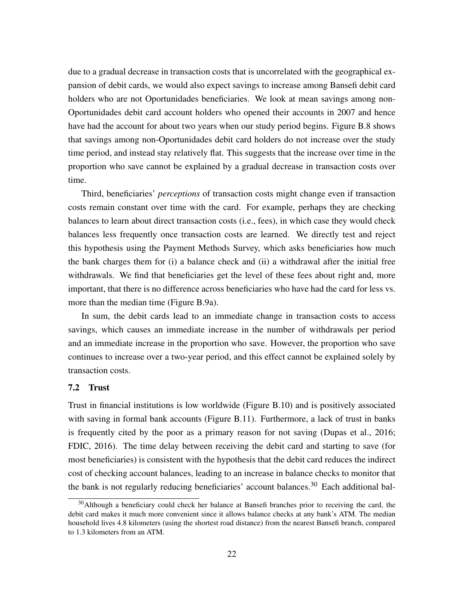due to a gradual decrease in transaction costs that is uncorrelated with the geographical expansion of debit cards, we would also expect savings to increase among Bansefi debit card holders who are not Oportunidades beneficiaries. We look at mean savings among non-Oportunidades debit card account holders who opened their accounts in 2007 and hence have had the account for about two years when our study period begins. Figure [B.8](#page-50-0) shows that savings among non-Oportunidades debit card holders do not increase over the study time period, and instead stay relatively flat. This suggests that the increase over time in the proportion who save cannot be explained by a gradual decrease in transaction costs over time.

Third, beneficiaries' *perceptions* of transaction costs might change even if transaction costs remain constant over time with the card. For example, perhaps they are checking balances to learn about direct transaction costs (i.e., fees), in which case they would check balances less frequently once transaction costs are learned. We directly test and reject this hypothesis using the Payment Methods Survey, which asks beneficiaries how much the bank charges them for (i) a balance check and (ii) a withdrawal after the initial free withdrawals. We find that beneficiaries get the level of these fees about right and, more important, that there is no difference across beneficiaries who have had the card for less vs. more than the median time (Figure [B.9a\)](#page-50-1).

In sum, the debit cards lead to an immediate change in transaction costs to access savings, which causes an immediate increase in the number of withdrawals per period and an immediate increase in the proportion who save. However, the proportion who save continues to increase over a two-year period, and this effect cannot be explained solely by transaction costs.

## 7.2 Trust

Trust in financial institutions is low worldwide (Figure [B.10\)](#page-51-0) and is positively associated with saving in formal bank accounts (Figure [B.11\)](#page-51-1). Furthermore, a lack of trust in banks is frequently cited by the poor as a primary reason for not saving [\(Dupas et al., 2016;](#page-31-3) [FDIC, 2016\)](#page-31-4). The time delay between receiving the debit card and starting to save (for most beneficiaries) is consistent with the hypothesis that the debit card reduces the indirect cost of checking account balances, leading to an increase in balance checks to monitor that the bank is not regularly reducing beneficiaries' account balances.<sup>[30](#page-23-0)</sup> Each additional bal-

<span id="page-23-0"></span><sup>&</sup>lt;sup>30</sup>Although a beneficiary could check her balance at Bansefi branches prior to receiving the card, the debit card makes it much more convenient since it allows balance checks at any bank's ATM. The median household lives 4.8 kilometers (using the shortest road distance) from the nearest Bansefi branch, compared to 1.3 kilometers from an ATM.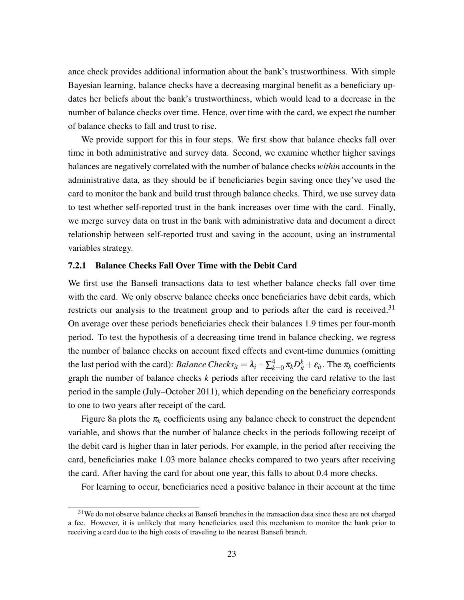ance check provides additional information about the bank's trustworthiness. With simple Bayesian learning, balance checks have a decreasing marginal benefit as a beneficiary updates her beliefs about the bank's trustworthiness, which would lead to a decrease in the number of balance checks over time. Hence, over time with the card, we expect the number of balance checks to fall and trust to rise.

We provide support for this in four steps. We first show that balance checks fall over time in both administrative and survey data. Second, we examine whether higher savings balances are negatively correlated with the number of balance checks *within* accounts in the administrative data, as they should be if beneficiaries begin saving once they've used the card to monitor the bank and build trust through balance checks. Third, we use survey data to test whether self-reported trust in the bank increases over time with the card. Finally, we merge survey data on trust in the bank with administrative data and document a direct relationship between self-reported trust and saving in the account, using an instrumental variables strategy.

#### <span id="page-24-1"></span>7.2.1 Balance Checks Fall Over Time with the Debit Card

We first use the Bansefi transactions data to test whether balance checks fall over time with the card. We only observe balance checks once beneficiaries have debit cards, which restricts our analysis to the treatment group and to periods after the card is received.<sup>[31](#page-24-0)</sup> On average over these periods beneficiaries check their balances 1.9 times per four-month period. To test the hypothesis of a decreasing time trend in balance checking, we regress the number of balance checks on account fixed effects and event-time dummies (omitting the last period with the card): *Balance Checks*<sub>*it*</sub> =  $\lambda_i + \sum_{k=0}^4 \pi_k D_{it}^k + \varepsilon_{it}$ . The  $\pi_k$  coefficients graph the number of balance checks *k* periods after receiving the card relative to the last period in the sample (July–October 2011), which depending on the beneficiary corresponds to one to two years after receipt of the card.

Figure [8a](#page-40-0) plots the  $\pi_k$  coefficients using any balance check to construct the dependent variable, and shows that the number of balance checks in the periods following receipt of the debit card is higher than in later periods. For example, in the period after receiving the card, beneficiaries make 1.03 more balance checks compared to two years after receiving the card. After having the card for about one year, this falls to about 0.4 more checks.

For learning to occur, beneficiaries need a positive balance in their account at the time

<span id="page-24-0"></span><sup>&</sup>lt;sup>31</sup>We do not observe balance checks at Bansefi branches in the transaction data since these are not charged a fee. However, it is unlikely that many beneficiaries used this mechanism to monitor the bank prior to receiving a card due to the high costs of traveling to the nearest Bansefi branch.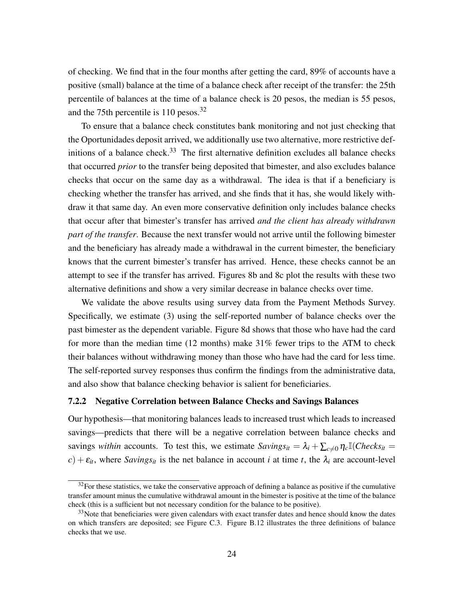of checking. We find that in the four months after getting the card, 89% of accounts have a positive (small) balance at the time of a balance check after receipt of the transfer: the 25th percentile of balances at the time of a balance check is 20 pesos, the median is 55 pesos, and the 75th percentile is 110 pesos.<sup>[32](#page-25-0)</sup>

To ensure that a balance check constitutes bank monitoring and not just checking that the Oportunidades deposit arrived, we additionally use two alternative, more restrictive def-initions of a balance check.<sup>[33](#page-25-1)</sup> The first alternative definition excludes all balance checks that occurred *prior* to the transfer being deposited that bimester, and also excludes balance checks that occur on the same day as a withdrawal. The idea is that if a beneficiary is checking whether the transfer has arrived, and she finds that it has, she would likely withdraw it that same day. An even more conservative definition only includes balance checks that occur after that bimester's transfer has arrived *and the client has already withdrawn part of the transfer*. Because the next transfer would not arrive until the following bimester and the beneficiary has already made a withdrawal in the current bimester, the beneficiary knows that the current bimester's transfer has arrived. Hence, these checks cannot be an attempt to see if the transfer has arrived. Figures [8b](#page-40-0) and [8c](#page-40-0) plot the results with these two alternative definitions and show a very similar decrease in balance checks over time.

We validate the above results using survey data from the Payment Methods Survey. Specifically, we estimate [\(3\)](#page-12-1) using the self-reported number of balance checks over the past bimester as the dependent variable. Figure [8d](#page-40-0) shows that those who have had the card for more than the median time (12 months) make 31% fewer trips to the ATM to check their balances without withdrawing money than those who have had the card for less time. The self-reported survey responses thus confirm the findings from the administrative data, and also show that balance checking behavior is salient for beneficiaries.

### 7.2.2 Negative Correlation between Balance Checks and Savings Balances

Our hypothesis—that monitoring balances leads to increased trust which leads to increased savings—predicts that there will be a negative correlation between balance checks and savings *within* accounts. To test this, we estimate  $Savings_{it} = \lambda_i + \sum_{c \neq 0} \eta_c \mathbb{I}(\text{C}hecks_{it} =$  $c$ ) +  $\varepsilon$ <sub>*it*</sub>, where *Savings*<sub>*it*</sub> is the net balance in account *i* at time *t*, the  $\lambda$ <sub>*i*</sub> are account-level

<span id="page-25-0"></span> $32$ For these statistics, we take the conservative approach of defining a balance as positive if the cumulative transfer amount minus the cumulative withdrawal amount in the bimester is positive at the time of the balance check (this is a sufficient but not necessary condition for the balance to be positive).

<span id="page-25-1"></span> $33$ Note that beneficiaries were given calendars with exact transfer dates and hence should know the dates on which transfers are deposited; see Figure [C.3.](#page-58-0) Figure [B.12](#page-52-0) illustrates the three definitions of balance checks that we use.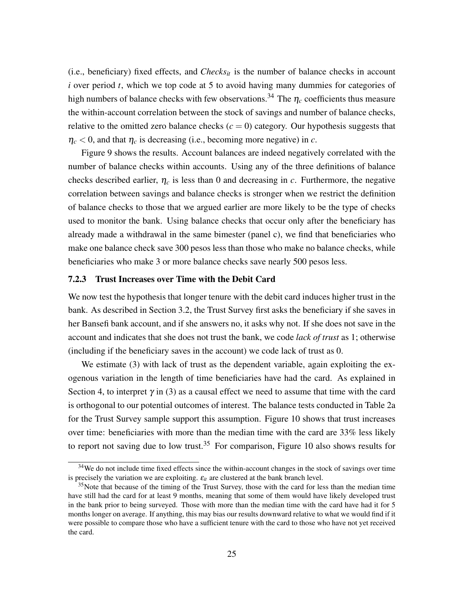(i.e., beneficiary) fixed effects, and  $Checks_{it}$  is the number of balance checks in account *i* over period *t*, which we top code at 5 to avoid having many dummies for categories of high numbers of balance checks with few observations.<sup>[34](#page-26-0)</sup> The  $\eta_c$  coefficients thus measure the within-account correlation between the stock of savings and number of balance checks, relative to the omitted zero balance checks  $(c = 0)$  category. Our hypothesis suggests that  $\eta_c$  < 0, and that  $\eta_c$  is decreasing (i.e., becoming more negative) in *c*.

Figure [9](#page-41-0) shows the results. Account balances are indeed negatively correlated with the number of balance checks within accounts. Using any of the three definitions of balance checks described earlier,  $\eta_c$  is less than 0 and decreasing in *c*. Furthermore, the negative correlation between savings and balance checks is stronger when we restrict the definition of balance checks to those that we argued earlier are more likely to be the type of checks used to monitor the bank. Using balance checks that occur only after the beneficiary has already made a withdrawal in the same bimester (panel c), we find that beneficiaries who make one balance check save 300 pesos less than those who make no balance checks, while beneficiaries who make 3 or more balance checks save nearly 500 pesos less.

## <span id="page-26-2"></span>7.2.3 Trust Increases over Time with the Debit Card

We now test the hypothesis that longer tenure with the debit card induces higher trust in the bank. As described in Section [3.2,](#page-9-0) the Trust Survey first asks the beneficiary if she saves in her Bansefi bank account, and if she answers no, it asks why not. If she does not save in the account and indicates that she does not trust the bank, we code *lack of trust* as 1; otherwise (including if the beneficiary saves in the account) we code lack of trust as 0.

We estimate [\(3\)](#page-12-1) with lack of trust as the dependent variable, again exploiting the exogenous variation in the length of time beneficiaries have had the card. As explained in Section [4,](#page-10-0) to interpret  $\gamma$  in [\(3\)](#page-12-1) as a causal effect we need to assume that time with the card is orthogonal to our potential outcomes of interest. The balance tests conducted in Table [2a](#page-34-0) for the Trust Survey sample support this assumption. Figure [10](#page-41-0) shows that trust increases over time: beneficiaries with more than the median time with the card are 33% less likely to report not saving due to low trust.<sup>[35](#page-26-1)</sup> For comparison, Figure [10](#page-41-0) also shows results for

<span id="page-26-0"></span><sup>&</sup>lt;sup>34</sup>We do not include time fixed effects since the within-account changes in the stock of savings over time is precisely the variation we are exploiting.  $\varepsilon_{it}$  are clustered at the bank branch level.

<span id="page-26-1"></span><sup>&</sup>lt;sup>35</sup>Note that because of the timing of the Trust Survey, those with the card for less than the median time have still had the card for at least 9 months, meaning that some of them would have likely developed trust in the bank prior to being surveyed. Those with more than the median time with the card have had it for 5 months longer on average. If anything, this may bias our results downward relative to what we would find if it were possible to compare those who have a sufficient tenure with the card to those who have not yet received the card.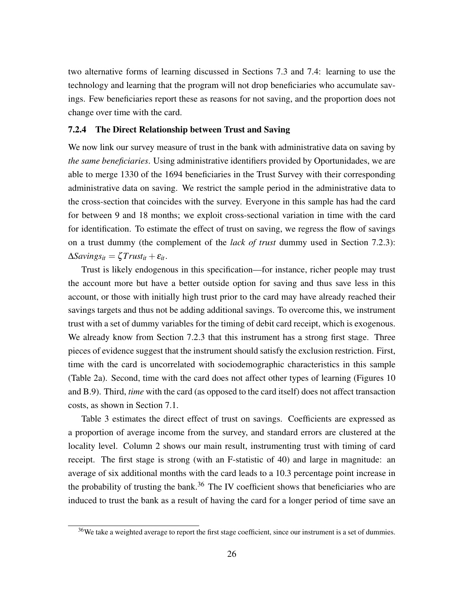two alternative forms of learning discussed in Sections [7.3](#page-28-0) and [7.4:](#page-28-1) learning to use the technology and learning that the program will not drop beneficiaries who accumulate savings. Few beneficiaries report these as reasons for not saving, and the proportion does not change over time with the card.

### 7.2.4 The Direct Relationship between Trust and Saving

We now link our survey measure of trust in the bank with administrative data on saving by *the same beneficiaries*. Using administrative identifiers provided by Oportunidades, we are able to merge 1330 of the 1694 beneficiaries in the Trust Survey with their corresponding administrative data on saving. We restrict the sample period in the administrative data to the cross-section that coincides with the survey. Everyone in this sample has had the card for between 9 and 18 months; we exploit cross-sectional variation in time with the card for identification. To estimate the effect of trust on saving, we regress the flow of savings on a trust dummy (the complement of the *lack of trust* dummy used in Section [7.2.3\)](#page-26-2):  $\Delta$ *Savings*<sub>*it*</sub> =  $\zeta$ *Trust*<sub>*it*</sub> +  $\varepsilon$ <sub>*it*</sub>.

Trust is likely endogenous in this specification—for instance, richer people may trust the account more but have a better outside option for saving and thus save less in this account, or those with initially high trust prior to the card may have already reached their savings targets and thus not be adding additional savings. To overcome this, we instrument trust with a set of dummy variables for the timing of debit card receipt, which is exogenous. We already know from Section [7.2.3](#page-26-2) that this instrument has a strong first stage. Three pieces of evidence suggest that the instrument should satisfy the exclusion restriction. First, time with the card is uncorrelated with sociodemographic characteristics in this sample (Table [2a](#page-34-0)). Second, time with the card does not affect other types of learning (Figures [10](#page-41-0) and [B.9\)](#page-50-1). Third, *time* with the card (as opposed to the card itself) does not affect transaction costs, as shown in Section [7.1.](#page-21-2)

Table [3](#page-35-0) estimates the direct effect of trust on savings. Coefficients are expressed as a proportion of average income from the survey, and standard errors are clustered at the locality level. Column 2 shows our main result, instrumenting trust with timing of card receipt. The first stage is strong (with an F-statistic of 40) and large in magnitude: an average of six additional months with the card leads to a 10.3 percentage point increase in the probability of trusting the bank.<sup>[36](#page-27-0)</sup> The IV coefficient shows that beneficiaries who are induced to trust the bank as a result of having the card for a longer period of time save an

<span id="page-27-0"></span><sup>&</sup>lt;sup>36</sup>We take a weighted average to report the first stage coefficient, since our instrument is a set of dummies.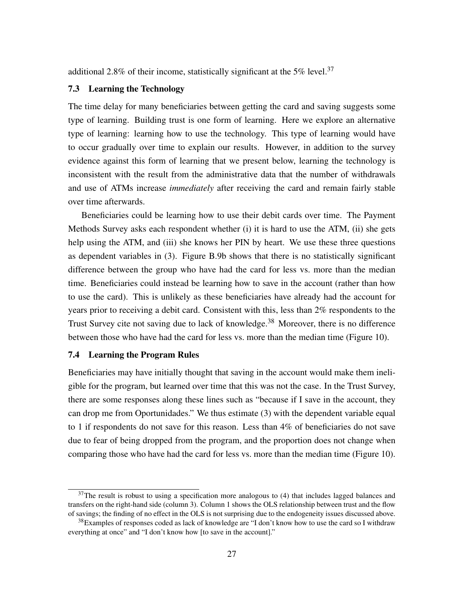additional 2.8% of their income, statistically significant at the 5% level.<sup>[37](#page-28-2)</sup>

## <span id="page-28-0"></span>7.3 Learning the Technology

The time delay for many beneficiaries between getting the card and saving suggests some type of learning. Building trust is one form of learning. Here we explore an alternative type of learning: learning how to use the technology. This type of learning would have to occur gradually over time to explain our results. However, in addition to the survey evidence against this form of learning that we present below, learning the technology is inconsistent with the result from the administrative data that the number of withdrawals and use of ATMs increase *immediately* after receiving the card and remain fairly stable over time afterwards.

Beneficiaries could be learning how to use their debit cards over time. The Payment Methods Survey asks each respondent whether (i) it is hard to use the ATM, (ii) she gets help using the ATM, and (iii) she knows her PIN by heart. We use these three questions as dependent variables in [\(3\)](#page-12-1). Figure [B.9b](#page-50-1) shows that there is no statistically significant difference between the group who have had the card for less vs. more than the median time. Beneficiaries could instead be learning how to save in the account (rather than how to use the card). This is unlikely as these beneficiaries have already had the account for years prior to receiving a debit card. Consistent with this, less than 2% respondents to the Trust Survey cite not saving due to lack of knowledge.<sup>[38](#page-28-3)</sup> Moreover, there is no difference between those who have had the card for less vs. more than the median time (Figure [10\)](#page-41-0).

### <span id="page-28-1"></span>7.4 Learning the Program Rules

Beneficiaries may have initially thought that saving in the account would make them ineligible for the program, but learned over time that this was not the case. In the Trust Survey, there are some responses along these lines such as "because if I save in the account, they can drop me from Oportunidades." We thus estimate [\(3\)](#page-12-1) with the dependent variable equal to 1 if respondents do not save for this reason. Less than 4% of beneficiaries do not save due to fear of being dropped from the program, and the proportion does not change when comparing those who have had the card for less vs. more than the median time (Figure [10\)](#page-41-0).

<span id="page-28-2"></span> $37$ The result is robust to using a specification more analogous to [\(4\)](#page-16-2) that includes lagged balances and transfers on the right-hand side (column 3). Column 1 shows the OLS relationship between trust and the flow of savings; the finding of no effect in the OLS is not surprising due to the endogeneity issues discussed above.

<span id="page-28-3"></span><sup>&</sup>lt;sup>38</sup>Examples of responses coded as lack of knowledge are "I don't know how to use the card so I withdraw everything at once" and "I don't know how [to save in the account]."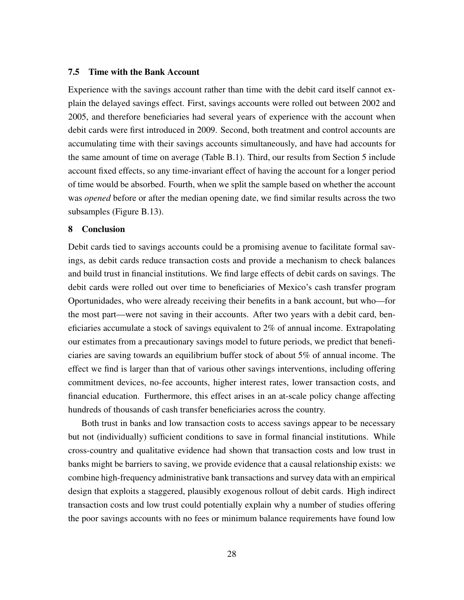### 7.5 Time with the Bank Account

Experience with the savings account rather than time with the debit card itself cannot explain the delayed savings effect. First, savings accounts were rolled out between 2002 and 2005, and therefore beneficiaries had several years of experience with the account when debit cards were first introduced in 2009. Second, both treatment and control accounts are accumulating time with their savings accounts simultaneously, and have had accounts for the same amount of time on average (Table [B.1\)](#page-53-0). Third, our results from Section [5](#page-13-3) include account fixed effects, so any time-invariant effect of having the account for a longer period of time would be absorbed. Fourth, when we split the sample based on whether the account was *opened* before or after the median opening date, we find similar results across the two subsamples (Figure [B.13\)](#page-52-1).

## 8 Conclusion

Debit cards tied to savings accounts could be a promising avenue to facilitate formal savings, as debit cards reduce transaction costs and provide a mechanism to check balances and build trust in financial institutions. We find large effects of debit cards on savings. The debit cards were rolled out over time to beneficiaries of Mexico's cash transfer program Oportunidades, who were already receiving their benefits in a bank account, but who—for the most part—were not saving in their accounts. After two years with a debit card, beneficiaries accumulate a stock of savings equivalent to  $2\%$  of annual income. Extrapolating our estimates from a precautionary savings model to future periods, we predict that beneficiaries are saving towards an equilibrium buffer stock of about 5% of annual income. The effect we find is larger than that of various other savings interventions, including offering commitment devices, no-fee accounts, higher interest rates, lower transaction costs, and financial education. Furthermore, this effect arises in an at-scale policy change affecting hundreds of thousands of cash transfer beneficiaries across the country.

Both trust in banks and low transaction costs to access savings appear to be necessary but not (individually) sufficient conditions to save in formal financial institutions. While cross-country and qualitative evidence had shown that transaction costs and low trust in banks might be barriers to saving, we provide evidence that a causal relationship exists: we combine high-frequency administrative bank transactions and survey data with an empirical design that exploits a staggered, plausibly exogenous rollout of debit cards. High indirect transaction costs and low trust could potentially explain why a number of studies offering the poor savings accounts with no fees or minimum balance requirements have found low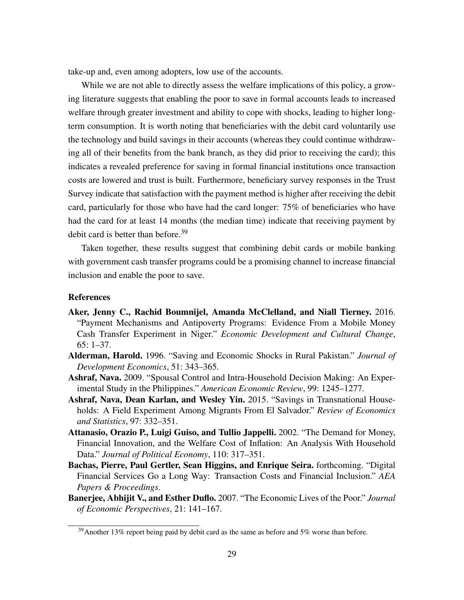take-up and, even among adopters, low use of the accounts.

While we are not able to directly assess the welfare implications of this policy, a growing literature suggests that enabling the poor to save in formal accounts leads to increased welfare through greater investment and ability to cope with shocks, leading to higher longterm consumption. It is worth noting that beneficiaries with the debit card voluntarily use the technology and build savings in their accounts (whereas they could continue withdrawing all of their benefits from the bank branch, as they did prior to receiving the card); this indicates a revealed preference for saving in formal financial institutions once transaction costs are lowered and trust is built. Furthermore, beneficiary survey responses in the Trust Survey indicate that satisfaction with the payment method is higher after receiving the debit card, particularly for those who have had the card longer: 75% of beneficiaries who have had the card for at least 14 months (the median time) indicate that receiving payment by debit card is better than before.<sup>[39](#page-30-7)</sup>

Taken together, these results suggest that combining debit cards or mobile banking with government cash transfer programs could be a promising channel to increase financial inclusion and enable the poor to save.

### References

- <span id="page-30-1"></span>Aker, Jenny C., Rachid Boumnijel, Amanda McClelland, and Niall Tierney. 2016. "Payment Mechanisms and Antipoverty Programs: Evidence From a Mobile Money Cash Transfer Experiment in Niger." *Economic Development and Cultural Change*, 65: 1–37.
- <span id="page-30-0"></span>Alderman, Harold. 1996. "Saving and Economic Shocks in Rural Pakistan." *Journal of Development Economics*, 51: 343–365.
- <span id="page-30-4"></span>Ashraf, Nava. 2009. "Spousal Control and Intra-Household Decision Making: An Experimental Study in the Philippines." *American Economic Review*, 99: 1245–1277.
- <span id="page-30-2"></span>Ashraf, Nava, Dean Karlan, and Wesley Yin. 2015. "Savings in Transnational Households: A Field Experiment Among Migrants From El Salvador." *Review of Economics and Statistics*, 97: 332–351.
- <span id="page-30-3"></span>Attanasio, Orazio P., Luigi Guiso, and Tullio Jappelli. 2002. "The Demand for Money, Financial Innovation, and the Welfare Cost of Inflation: An Analysis With Household Data." *Journal of Political Economy*, 110: 317–351.
- <span id="page-30-6"></span>Bachas, Pierre, Paul Gertler, Sean Higgins, and Enrique Seira. forthcoming. "Digital Financial Services Go a Long Way: Transaction Costs and Financial Inclusion." *AEA Papers & Proceedings*.
- <span id="page-30-5"></span>Banerjee, Abhijit V., and Esther Duflo. 2007. "The Economic Lives of the Poor." *Journal of Economic Perspectives*, 21: 141–167.

<span id="page-30-7"></span> $39$ Another 13% report being paid by debit card as the same as before and 5% worse than before.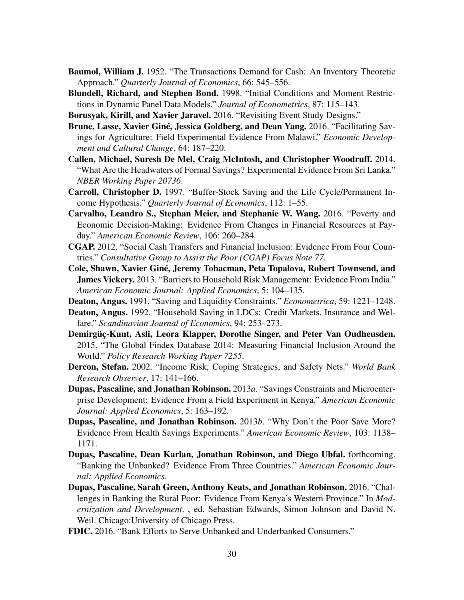- <span id="page-31-12"></span>Baumol, William J. 1952. "The Transactions Demand for Cash: An Inventory Theoretic Approach." *Quarterly Journal of Economics*, 66: 545–556.
- <span id="page-31-15"></span>Blundell, Richard, and Stephen Bond. 1998. "Initial Conditions and Moment Restrictions in Dynamic Panel Data Models." *Journal of Econometrics*, 87: 115–143.
- <span id="page-31-11"></span>Borusyak, Kirill, and Xavier Jaravel. 2016. "Revisiting Event Study Designs."
- <span id="page-31-6"></span>Brune, Lasse, Xavier Giné, Jessica Goldberg, and Dean Yang. 2016. "Facilitating Savings for Agriculture: Field Experimental Evidence From Malawi." *Economic Development and Cultural Change*, 64: 187–220.
- <span id="page-31-9"></span>Callen, Michael, Suresh De Mel, Craig McIntosh, and Christopher Woodruff. 2014. "What Are the Headwaters of Formal Savings? Experimental Evidence From Sri Lanka." *NBER Working Paper 20736*.
- <span id="page-31-8"></span>Carroll, Christopher D. 1997. "Buffer-Stock Saving and the Life Cycle/Permanent Income Hypothesis." *Quarterly Journal of Economics*, 112: 1–55.
- <span id="page-31-16"></span>Carvalho, Leandro S., Stephan Meier, and Stephanie W. Wang. 2016. "Poverty and Economic Decision-Making: Evidence From Changes in Financial Resources at Payday." *American Economic Review*, 106: 260–284.
- <span id="page-31-7"></span>CGAP. 2012. "Social Cash Transfers and Financial Inclusion: Evidence From Four Countries." *Consultative Group to Assist the Poor (CGAP) Focus Note 77*.
- <span id="page-31-10"></span>Cole, Shawn, Xavier Giné, Jeremy Tobacman, Peta Topalova, Robert Townsend, and James Vickery. 2013. "Barriers to Household Risk Management: Evidence From India." *American Economic Journal: Applied Economics*, 5: 104–135.
- <span id="page-31-13"></span>Deaton, Angus. 1991. "Saving and Liquidity Constraints." *Econometrica*, 59: 1221–1248.
- <span id="page-31-14"></span>Deaton, Angus. 1992. "Household Saving in LDCs: Credit Markets, Insurance and Welfare." *Scandinavian Journal of Economics*, 94: 253–273.
- <span id="page-31-2"></span>Demirgüç-Kunt, Asli, Leora Klapper, Dorothe Singer, and Peter Van Oudheusden. 2015. "The Global Findex Database 2014: Measuring Financial Inclusion Around the World." *Policy Research Working Paper 7255*.
- <span id="page-31-0"></span>Dercon, Stefan. 2002. "Income Risk, Coping Strategies, and Safety Nets." *World Bank Research Observer*, 17: 141–166.
- <span id="page-31-5"></span>Dupas, Pascaline, and Jonathan Robinson. 2013*a*. "Savings Constraints and Microenterprise Development: Evidence From a Field Experiment in Kenya." *American Economic Journal: Applied Economics*, 5: 163–192.
- <span id="page-31-17"></span>Dupas, Pascaline, and Jonathan Robinson. 2013*b*. "Why Don't the Poor Save More? Evidence From Health Savings Experiments." *American Economic Review*, 103: 1138– 1171.
- <span id="page-31-1"></span>Dupas, Pascaline, Dean Karlan, Jonathan Robinson, and Diego Ubfal. forthcoming. "Banking the Unbanked? Evidence From Three Countries." *American Economic Journal: Applied Economics*.
- <span id="page-31-3"></span>Dupas, Pascaline, Sarah Green, Anthony Keats, and Jonathan Robinson. 2016. "Challenges in Banking the Rural Poor: Evidence From Kenya's Western Province." In *Modernization and Development*. , ed. Sebastian Edwards, Simon Johnson and David N. Weil. Chicago:University of Chicago Press.
- <span id="page-31-4"></span>FDIC. 2016. "Bank Efforts to Serve Unbanked and Underbanked Consumers."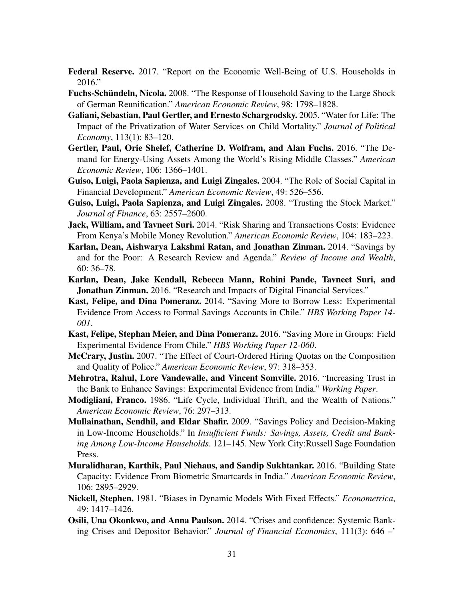- <span id="page-32-0"></span>Federal Reserve. 2017. "Report on the Economic Well-Being of U.S. Households in 2016."
- <span id="page-32-15"></span>Fuchs-Schündeln, Nicola. 2008. "The Response of Household Saving to the Large Shock of German Reunification." *American Economic Review*, 98: 1798–1828.
- <span id="page-32-12"></span>Galiani, Sebastian, Paul Gertler, and Ernesto Schargrodsky. 2005. "Water for Life: The Impact of the Privatization of Water Services on Child Mortality." *Journal of Political Economy*, 113(1): 83–120.
- <span id="page-32-16"></span>Gertler, Paul, Orie Shelef, Catherine D. Wolfram, and Alan Fuchs. 2016. "The Demand for Energy-Using Assets Among the World's Rising Middle Classes." *American Economic Review*, 106: 1366–1401.
- <span id="page-32-7"></span>Guiso, Luigi, Paola Sapienza, and Luigi Zingales. 2004. "The Role of Social Capital in Financial Development." *American Economic Review*, 49: 526–556.
- <span id="page-32-8"></span>Guiso, Luigi, Paola Sapienza, and Luigi Zingales. 2008. "Trusting the Stock Market." *Journal of Finance*, 63: 2557–2600.
- <span id="page-32-9"></span>Jack, William, and Tavneet Suri. 2014. "Risk Sharing and Transactions Costs: Evidence From Kenya's Mobile Money Revolution." *American Economic Review*, 104: 183–223.
- <span id="page-32-1"></span>Karlan, Dean, Aishwarya Lakshmi Ratan, and Jonathan Zinman. 2014. "Savings by and for the Poor: A Research Review and Agenda." *Review of Income and Wealth*, 60: 36–78.
- <span id="page-32-3"></span>Karlan, Dean, Jake Kendall, Rebecca Mann, Rohini Pande, Tavneet Suri, and Jonathan Zinman. 2016. "Research and Impacts of Digital Financial Services."
- <span id="page-32-5"></span>Kast, Felipe, and Dina Pomeranz. 2014. "Saving More to Borrow Less: Experimental Evidence From Access to Formal Savings Accounts in Chile." *HBS Working Paper 14- 001*.
- <span id="page-32-6"></span>Kast, Felipe, Stephan Meier, and Dina Pomeranz. 2016. "Saving More in Groups: Field Experimental Evidence From Chile." *HBS Working Paper 12-060*.
- <span id="page-32-13"></span>McCrary, Justin. 2007. "The Effect of Court-Ordered Hiring Quotas on the Composition and Quality of Police." *American Economic Review*, 97: 318–353.
- <span id="page-32-11"></span>Mehrotra, Rahul, Lore Vandewalle, and Vincent Somville. 2016. "Increasing Trust in the Bank to Enhance Savings: Experimental Evidence from India." *Working Paper*.
- <span id="page-32-14"></span>Modigliani, Franco. 1986. "Life Cycle, Individual Thrift, and the Wealth of Nations." *American Economic Review*, 76: 297–313.
- <span id="page-32-2"></span>Mullainathan, Sendhil, and Eldar Shafir. 2009. "Savings Policy and Decision-Making in Low-Income Households." In *Insufficient Funds: Savings, Assets, Credit and Banking Among Low-Income Households*. 121–145. New York City:Russell Sage Foundation Press.
- <span id="page-32-4"></span>Muralidharan, Karthik, Paul Niehaus, and Sandip Sukhtankar. 2016. "Building State Capacity: Evidence From Biometric Smartcards in India." *American Economic Review*, 106: 2895–2929.
- <span id="page-32-17"></span>Nickell, Stephen. 1981. "Biases in Dynamic Models With Fixed Effects." *Econometrica*, 49: 1417–1426.
- <span id="page-32-10"></span>Osili, Una Okonkwo, and Anna Paulson. 2014. "Crises and confidence: Systemic Banking Crises and Depositor Behavior." *Journal of Financial Economics*, 111(3): 646 –'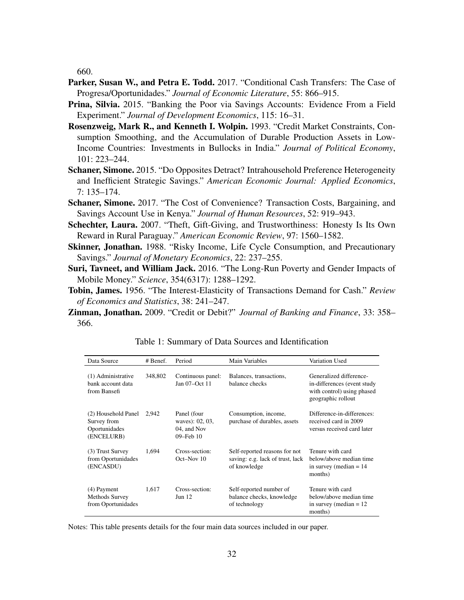660.

- <span id="page-33-4"></span>Parker, Susan W., and Petra E. Todd. 2017. "Conditional Cash Transfers: The Case of Progresa/Oportunidades." *Journal of Economic Literature*, 55: 866–915.
- <span id="page-33-0"></span>Prina, Silvia. 2015. "Banking the Poor via Savings Accounts: Evidence From a Field Experiment." *Journal of Development Economics*, 115: 16–31.
- <span id="page-33-7"></span>Rosenzweig, Mark R., and Kenneth I. Wolpin. 1993. "Credit Market Constraints, Consumption Smoothing, and the Accumulation of Durable Production Assets in Low-Income Countries: Investments in Bullocks in India." *Journal of Political Economy*, 101: 223–244.
- <span id="page-33-9"></span>Schaner, Simone. 2015. "Do Opposites Detract? Intrahousehold Preference Heterogeneity and Inefficient Strategic Savings." *American Economic Journal: Applied Economics*, 7: 135–174.
- <span id="page-33-1"></span>Schaner, Simone. 2017. "The Cost of Convenience? Transaction Costs, Bargaining, and Savings Account Use in Kenya." *Journal of Human Resources*, 52: 919–943.
- <span id="page-33-10"></span>Schechter, Laura. 2007. "Theft, Gift-Giving, and Trustworthiness: Honesty Is Its Own Reward in Rural Paraguay." *American Economic Review*, 97: 1560–1582.
- <span id="page-33-8"></span>**Skinner, Jonathan.** 1988. "Risky Income, Life Cycle Consumption, and Precautionary Savings." *Journal of Monetary Economics*, 22: 237–255.
- <span id="page-33-2"></span>Suri, Tavneet, and William Jack. 2016. "The Long-Run Poverty and Gender Impacts of Mobile Money." *Science*, 354(6317): 1288–1292.
- <span id="page-33-6"></span>Tobin, James. 1956. "The Interest-Elasticity of Transactions Demand for Cash." *Review of Economics and Statistics*, 38: 241–247.
- <span id="page-33-5"></span><span id="page-33-3"></span>Zinman, Jonathan. 2009. "Credit or Debit?" *Journal of Banking and Finance*, 33: 358– 366.

| Data Source                                                       | # Benef. | Period                                                          | Main Variables                                                                    | Variation Used                                                                                             |
|-------------------------------------------------------------------|----------|-----------------------------------------------------------------|-----------------------------------------------------------------------------------|------------------------------------------------------------------------------------------------------------|
| (1) Administrative<br>bank account data<br>from Bansefi           | 348,802  | Continuous panel:<br>Jan 07-Oct 11                              | Balances, transactions,<br>balance checks                                         | Generalized difference-<br>in-differences (event study<br>with control) using phased<br>geographic rollout |
| (2) Household Panel<br>Survey from<br>Oportunidades<br>(ENCELURB) | 2,942    | Panel (four<br>waves): 02, 03,<br>04, and Nov<br>$09$ –Feb $10$ | Consumption, income,<br>purchase of durables, assets                              | Difference-in-differences:<br>received card in 2009<br>versus received card later                          |
| (3) Trust Survey<br>from Oportunidades<br>(ENCASDU)               | 1,694    | Cross-section:<br>Oct-Nov 10                                    | Self-reported reasons for not<br>saving: e.g. lack of trust, lack<br>of knowledge | Tenure with card<br>below/above median time<br>in survey (median $= 14$ )<br>months)                       |
| (4) Payment<br>Methods Survey<br>from Oportunidades               | 1,617    | Cross-section:<br>Jun 12                                        | Self-reported number of<br>balance checks, knowledge<br>of technology             | Tenure with card<br>below/above median time<br>in survey (median $= 12$ )<br>months)                       |

Table 1: Summary of Data Sources and Identification

Notes: This table presents details for the four main data sources included in our paper.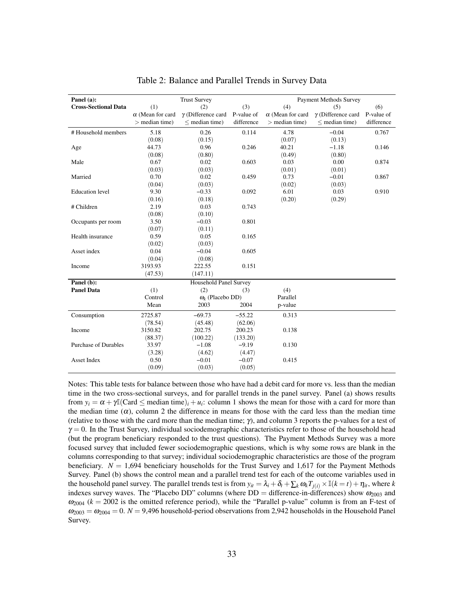<span id="page-34-0"></span>

| Panel (a):                  | <b>Trust Survey</b>     |                           |            | <b>Payment Methods Survey</b> |                           |            |  |
|-----------------------------|-------------------------|---------------------------|------------|-------------------------------|---------------------------|------------|--|
| <b>Cross-Sectional Data</b> | (1)                     | (2)                       | (3)        | (4)                           | (5)                       | (6)        |  |
|                             | $\alpha$ (Mean for card | $\gamma$ (Difference card | P-value of | $\alpha$ (Mean for card       | $\gamma$ (Difference card | P-value of |  |
|                             | $>$ median time)        | $<$ median time)          | difference | $>$ median time)              | $<$ median time)          | difference |  |
| # Household members         | 5.18                    | 0.26                      | 0.114      | 4.78                          | $-0.04$                   | 0.767      |  |
|                             | (0.08)                  | (0.15)                    |            | (0.07)                        | (0.13)                    |            |  |
| Age                         | 44.73                   | 0.96                      | 0.246      | 40.21                         | $-1.18$                   | 0.146      |  |
|                             | (0.08)                  | (0.80)                    |            | (0.49)                        | (0.80)                    |            |  |
| Male                        | 0.67                    | 0.02                      | 0.603      | 0.03                          | 0.00                      | 0.874      |  |
|                             | (0.03)                  | (0.03)                    |            | (0.01)                        | (0.01)                    |            |  |
| Married                     | 0.70                    | 0.02                      | 0.459      | 0.73                          | $-0.01$                   | 0.867      |  |
|                             | (0.04)                  | (0.03)                    |            | (0.02)                        | (0.03)                    |            |  |
| <b>Education</b> level      | 9.30                    | $-0.33$                   | 0.092      | 6.01                          | 0.03                      | 0.910      |  |
|                             | (0.16)                  | (0.18)                    |            | (0.20)                        | (0.29)                    |            |  |
| # Children                  | 2.19                    | 0.03                      | 0.743      |                               |                           |            |  |
|                             | (0.08)                  | (0.10)                    |            |                               |                           |            |  |
| Occupants per room          | 3.50                    | $-0.03$                   | 0.801      |                               |                           |            |  |
|                             | (0.07)                  | (0.11)                    |            |                               |                           |            |  |
| Health insurance            | 0.59                    | 0.05                      | 0.165      |                               |                           |            |  |
|                             | (0.02)                  | (0.03)                    |            |                               |                           |            |  |
| Asset index                 | 0.04                    | $-0.04$                   | 0.605      |                               |                           |            |  |
|                             | (0.04)                  | (0.08)                    |            |                               |                           |            |  |
| Income                      | 3193.93                 | 222.55                    | 0.151      |                               |                           |            |  |
|                             | (47.53)                 | (147.11)                  |            |                               |                           |            |  |
| Panel (b):                  |                         | Household Panel Survey    |            |                               |                           |            |  |
| <b>Panel Data</b>           | (1)                     | (2)                       | (3)        | (4)                           |                           |            |  |
|                             | Control                 | $\omega_k$ (Placebo DD)   |            | Parallel                      |                           |            |  |
|                             | Mean                    | 2003                      | 2004       | p-value                       |                           |            |  |
| Consumption                 | 2725.87                 | $-69.73$                  | $-55.22$   | 0.313                         |                           |            |  |
|                             | (78.54)                 | (45.48)                   | (62.06)    |                               |                           |            |  |
| Income                      | 3150.82                 | 202.75                    | 200.23     | 0.138                         |                           |            |  |
|                             | (88.37)                 | (100.22)                  | (133.20)   |                               |                           |            |  |
| <b>Purchase of Durables</b> | 33.97                   | $-1.08$                   | $-9.19$    | 0.130                         |                           |            |  |
|                             | (3.28)                  | (4.62)                    | (4.47)     |                               |                           |            |  |
| <b>Asset Index</b>          | 0.50                    | $-0.01$                   | $-0.07$    | 0.415                         |                           |            |  |
|                             | (0.09)                  | (0.03)                    | (0.05)     |                               |                           |            |  |

Table 2: Balance and Parallel Trends in Survey Data

Notes: This table tests for balance between those who have had a debit card for more vs. less than the median time in the two cross-sectional surveys, and for parallel trends in the panel survey. Panel (a) shows results from  $y_i = \alpha + \gamma \mathbb{I}(\text{Card } \leq \text{median time})_i + u_i$ : column 1 shows the mean for those with a card for more than the median time  $(\alpha)$ , column 2 the difference in means for those with the card less than the median time (relative to those with the card more than the median time;  $\gamma$ ), and column 3 reports the p-values for a test of  $\gamma = 0$ . In the Trust Survey, individual sociodemographic characteristics refer to those of the household head (but the program beneficiary responded to the trust questions). The Payment Methods Survey was a more focused survey that included fewer sociodemographic questions, which is why some rows are blank in the columns corresponding to that survey; individual sociodemographic characteristics are those of the program beneficiary.  $N = 1,694$  beneficiary households for the Trust Survey and 1,617 for the Payment Methods Survey. Panel (b) shows the control mean and a parallel trend test for each of the outcome variables used in the household panel survey. The parallel trends test is from  $y_{it} = \lambda_i + \delta_t + \sum_k \omega_k T_{j(i)} \times \mathbb{I}(k = t) + \eta_{it}$ , where *k* indexes survey waves. The "Placebo DD" columns (where  $DD =$  difference-in-differences) show  $\omega_{2003}$  and  $\omega_{2004}$  ( $k = 2002$  is the omitted reference period), while the "Parallel p-value" column is from an F-test of  $\omega_{2003} = \omega_{2004} = 0$ .  $N = 9,496$  household-period observations from 2,942 households in the Household Panel Survey.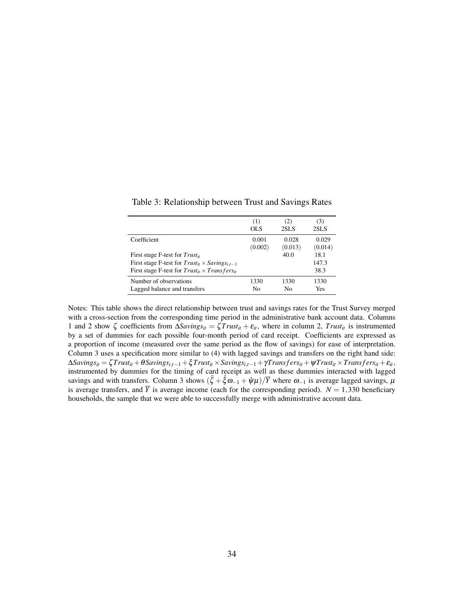|                                                                                                                                                                | (1)     | (2)     | (3)                   |
|----------------------------------------------------------------------------------------------------------------------------------------------------------------|---------|---------|-----------------------|
|                                                                                                                                                                | OL S    | 2SLS    | 2SLS                  |
| Coefficient                                                                                                                                                    | 0.001   | 0.028   | 0.029                 |
|                                                                                                                                                                | (0.002) | (0.013) | (0.014)               |
| First stage F-test for $Trust_{it}$<br>First stage F-test for $Trust_{it} \times Savings_{i,t-1}$<br>First stage F-test for $Trust_{it} \times Transfers_{it}$ |         | 40.0    | 18.1<br>147.3<br>38.3 |
| Number of observations                                                                                                                                         | 1330    | 1330    | 1330                  |
| Lagged balance and transfers                                                                                                                                   | No      | N٥      | Yes                   |

<span id="page-35-0"></span>Table 3: Relationship between Trust and Savings Rates

Notes: This table shows the direct relationship between trust and savings rates for the Trust Survey merged with a cross-section from the corresponding time period in the administrative bank account data. Columns 1 and 2 show  $\zeta$  coefficients from  $\Delta Savity_{si} = \zeta \text{Trust}_{it} + \varepsilon_{it}$ , where in column 2,  $\text{Trust}_{it}$  is instrumented by a set of dummies for each possible four-month period of card receipt. Coefficients are expressed as a proportion of income (measured over the same period as the flow of savings) for ease of interpretation. Column 3 uses a specification more similar to [\(4\)](#page-16-2) with lagged savings and transfers on the right hand side:  $\Delta Savings_{it} = \zeta Trust_{it} + \theta Savings_{i,t-1} + \zeta Trust_{it} \times Savings_{i,t-1} + \gamma Transfers_{it} + \psi Trust_{it} \times Transfers_{it} + \varepsilon_{it},$ instrumented by dummies for the timing of card receipt as well as these dummies interacted with lagged savings and with transfers. Column 3 shows  $(\hat{\zeta} + \hat{\xi}\omega_{-1} + \hat{\psi}\mu)/\overline{Y}$  where  $\omega_{-1}$  is average lagged savings,  $\mu$ is average transfers, and  $\overline{Y}$  is average income (each for the corresponding period).  $N = 1,330$  beneficiary households, the sample that we were able to successfully merge with administrative account data.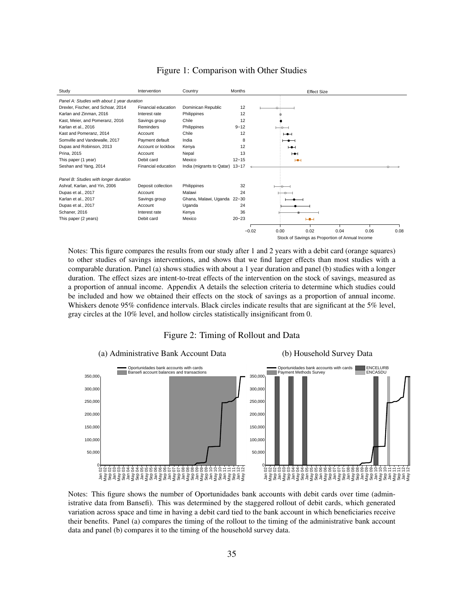<span id="page-36-0"></span>

## Figure 1: Comparison with Other Studies

Notes: This figure compares the results from our study after 1 and 2 years with a debit card (orange squares) to other studies of savings interventions, and shows that we find larger effects than most studies with a comparable duration. Panel (a) shows studies with about a 1 year duration and panel (b) studies with a longer duration. The effect sizes are intent-to-treat effects of the intervention on the stock of savings, measured as a proportion of annual income. Appendix [A](#page-42-0) details the selection criteria to determine which studies could be included and how we obtained their effects on the stock of savings as a proportion of annual income. Whiskers denote 95% confidence intervals. Black circles indicate results that are significant at the 5% level, gray circles at the 10% level, and hollow circles statistically insignificant from 0.

### Figure 2: Timing of Rollout and Data



Notes: This figure shows the number of Oportunidades bank accounts with debit cards over time (administrative data from Bansefi). This was determined by the staggered rollout of debit cards, which generated variation across space and time in having a debit card tied to the bank account in which beneficiaries receive their benefits. Panel (a) compares the timing of the rollout to the timing of the administrative bank account data and panel (b) compares it to the timing of the household survey data.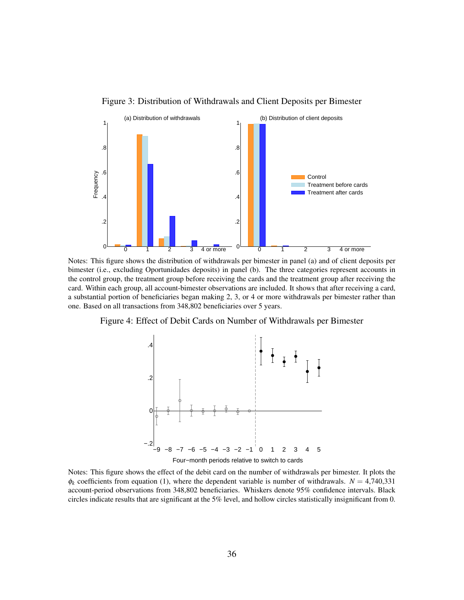<span id="page-37-0"></span>



Notes: This figure shows the distribution of withdrawals per bimester in panel (a) and of client deposits per bimester (i.e., excluding Oportunidades deposits) in panel (b). The three categories represent accounts in the control group, the treatment group before receiving the cards and the treatment group after receiving the card. Within each group, all account-bimester observations are included. It shows that after receiving a card, a substantial portion of beneficiaries began making 2, 3, or 4 or more withdrawals per bimester rather than one. Based on all transactions from 348,802 beneficiaries over 5 years.

Figure 4: Effect of Debit Cards on Number of Withdrawals per Bimester



Notes: This figure shows the effect of the debit card on the number of withdrawals per bimester. It plots the  $\phi_k$  coefficients from equation [\(1\)](#page-11-2), where the dependent variable is number of withdrawals.  $N = 4,740,331$ account-period observations from 348,802 beneficiaries. Whiskers denote 95% confidence intervals. Black circles indicate results that are significant at the 5% level, and hollow circles statistically insignificant from 0.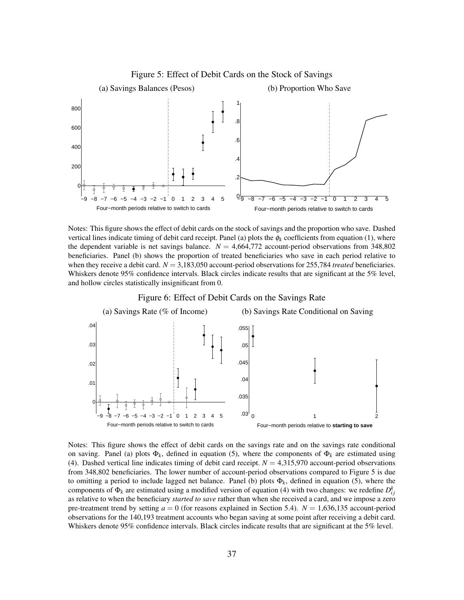<span id="page-38-0"></span>

Notes: This figure shows the effect of debit cards on the stock of savings and the proportion who save. Dashed vertical lines indicate timing of debit card receipt. Panel (a) plots the  $\phi_k$  coefficients from equation [\(1\)](#page-11-2), where the dependent variable is net savings balance.  $N = 4,664,772$  account-period observations from 348,802 beneficiaries. Panel (b) shows the proportion of treated beneficiaries who save in each period relative to when they receive a debit card.  $N = 3,183,050$  account-period observations for 255,784 *treated* beneficiaries. Whiskers denote 95% confidence intervals. Black circles indicate results that are significant at the 5% level, and hollow circles statistically insignificant from 0.



Figure 6: Effect of Debit Cards on the Savings Rate

Notes: This figure shows the effect of debit cards on the savings rate and on the savings rate conditional on saving. Panel (a) plots  $\Phi_k$ , defined in equation [\(5\)](#page-17-0), where the components of  $\Phi_k$  are estimated using [\(4\)](#page-16-2). Dashed vertical line indicates timing of debit card receipt.  $N = 4,315,970$  account-period observations from 348,802 beneficiaries. The lower number of account-period observations compared to Figure [5](#page-38-0) is due to omitting a period to include lagged net balance. Panel (b) plots  $\Phi_k$ , defined in equation [\(5\)](#page-17-0), where the components of  $\Phi_k$  are estimated using a modified version of equation [\(4\)](#page-16-2) with two changes: we redefine  $D_{ij}^k$ as relative to when the beneficiary *started to save* rather than when she received a card, and we impose a zero pre-treatment trend by setting  $a = 0$  (for reasons explained in Section [5.4\)](#page-18-0).  $N = 1,636,135$  account-period observations for the 140,193 treatment accounts who began saving at some point after receiving a debit card. Whiskers denote 95% confidence intervals. Black circles indicate results that are significant at the 5% level.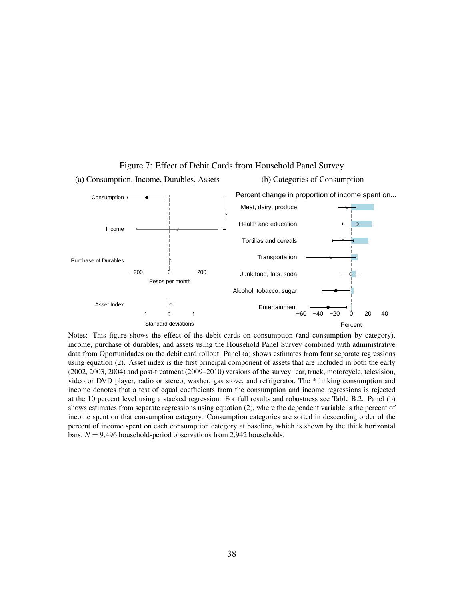<span id="page-39-0"></span>

Figure 7: Effect of Debit Cards from Household Panel Survey

Notes: This figure shows the effect of the debit cards on consumption (and consumption by category), income, purchase of durables, and assets using the Household Panel Survey combined with administrative data from Oportunidades on the debit card rollout. Panel (a) shows estimates from four separate regressions using equation [\(2\)](#page-11-3). Asset index is the first principal component of assets that are included in both the early (2002, 2003, 2004) and post-treatment (2009–2010) versions of the survey: car, truck, motorcycle, television, video or DVD player, radio or stereo, washer, gas stove, and refrigerator. The \* linking consumption and income denotes that a test of equal coefficients from the consumption and income regressions is rejected at the 10 percent level using a stacked regression. For full results and robustness see Table [B.2.](#page-54-0) Panel (b) shows estimates from separate regressions using equation [\(2\)](#page-11-3), where the dependent variable is the percent of income spent on that consumption category. Consumption categories are sorted in descending order of the percent of income spent on each consumption category at baseline, which is shown by the thick horizontal bars.  $N = 9,496$  household-period observations from 2,942 households.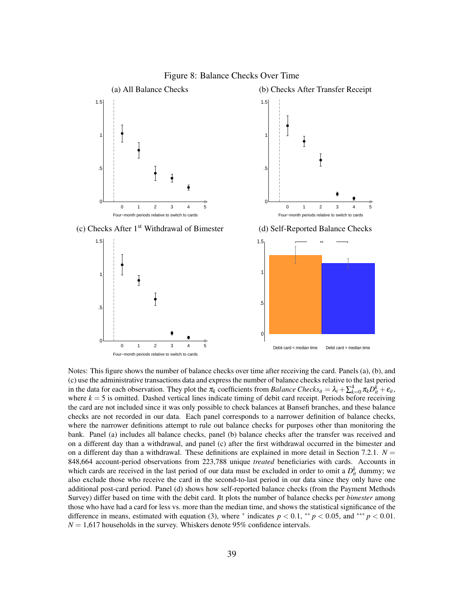<span id="page-40-0"></span>

Figure 8: Balance Checks Over Time

Notes: This figure shows the number of balance checks over time after receiving the card. Panels (a), (b), and (c) use the administrative transactions data and express the number of balance checks relative to the last period in the data for each observation. They plot the  $\pi_k$  coefficients from *Balance Checks*<sub>*it*</sub> =  $\lambda_i + \sum_{k=0}^4 \pi_k D_{it}^k + \varepsilon_{it}$ , where  $k = 5$  is omitted. Dashed vertical lines indicate timing of debit card receipt. Periods before receiving the card are not included since it was only possible to check balances at Bansefi branches, and these balance checks are not recorded in our data. Each panel corresponds to a narrower definition of balance checks, where the narrower definitions attempt to rule out balance checks for purposes other than monitoring the bank. Panel (a) includes all balance checks, panel (b) balance checks after the transfer was received and on a different day than a withdrawal, and panel (c) after the first withdrawal occurred in the bimester and on a different day than a withdrawal. These definitions are explained in more detail in Section [7.2.1.](#page-24-1)  $N =$ 848,664 account-period observations from 223,788 unique *treated* beneficiaries with cards. Accounts in which cards are received in the last period of our data must be excluded in order to omit a  $D_{it}^k$  dummy; we also exclude those who receive the card in the second-to-last period in our data since they only have one additional post-card period. Panel (d) shows how self-reported balance checks (from the Payment Methods Survey) differ based on time with the debit card. It plots the number of balance checks per *bimester* among those who have had a card for less vs. more than the median time, and shows the statistical significance of the difference in means, estimated with equation [\(3\)](#page-12-1), where  $*$  indicates  $p < 0.1$ ,  $**$   $p < 0.05$ , and  $***$   $p < 0.01$ .  $N = 1,617$  households in the survey. Whiskers denote 95% confidence intervals.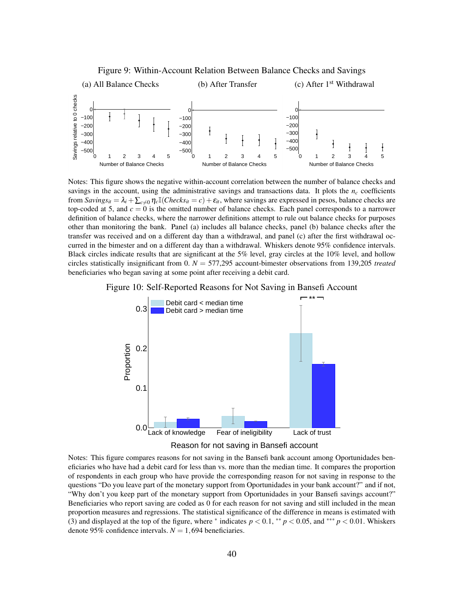<span id="page-41-0"></span>

Figure 9: Within-Account Relation Between Balance Checks and Savings

Notes: This figure shows the negative within-account correlation between the number of balance checks and savings in the account, using the administrative savings and transactions data. It plots the  $n_c$  coefficients from *Savings*<sub>it</sub> =  $\lambda_i + \sum_{c \neq 0} \eta_c \mathbb{I}(Checks_{it} = c) + \varepsilon_{it}$ , where savings are expressed in pesos, balance checks are top-coded at 5, and  $c = 0$  is the omitted number of balance checks. Each panel corresponds to a narrower definition of balance checks, where the narrower definitions attempt to rule out balance checks for purposes other than monitoring the bank. Panel (a) includes all balance checks, panel (b) balance checks after the transfer was received and on a different day than a withdrawal, and panel (c) after the first withdrawal occurred in the bimester and on a different day than a withdrawal. Whiskers denote 95% confidence intervals. Black circles indicate results that are significant at the 5% level, gray circles at the 10% level, and hollow circles statistically insignificant from 0. *N* = 577,295 account-bimester observations from 139,205 *treated* beneficiaries who began saving at some point after receiving a debit card.







Notes: This figure compares reasons for not saving in the Bansefi bank account among Oportunidades beneficiaries who have had a debit card for less than vs. more than the median time. It compares the proportion of respondents in each group who have provide the corresponding reason for not saving in response to the questions "Do you leave part of the monetary support from Oportunidades in your bank account?" and if not, "Why don't you keep part of the monetary support from Oportunidades in your Bansefi savings account?" Beneficiaries who report saving are coded as 0 for each reason for not saving and still included in the mean proportion measures and regressions. The statistical significance of the difference in means is estimated with [\(3\)](#page-12-1) and displayed at the top of the figure, where  $*$  indicates  $p < 0.1$ ,  $*$   $p < 0.05$ , and  $*$  $*$   $p < 0.01$ . Whiskers denote 95% confidence intervals.  $N = 1,694$  beneficiaries.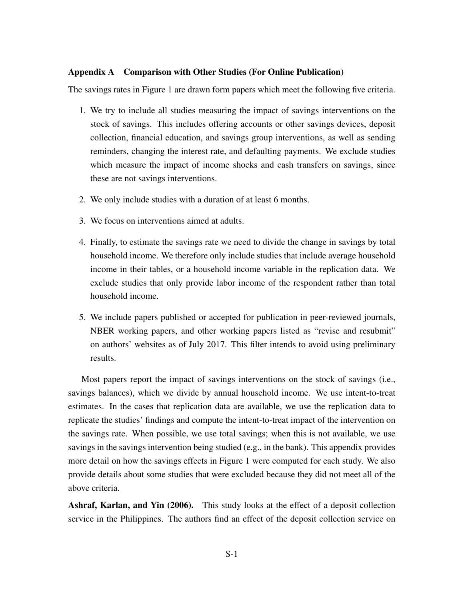# <span id="page-42-0"></span>Appendix A Comparison with Other Studies (For Online Publication)

The savings rates in Figure [1](#page-36-0) are drawn form papers which meet the following five criteria.

- 1. We try to include all studies measuring the impact of savings interventions on the stock of savings. This includes offering accounts or other savings devices, deposit collection, financial education, and savings group interventions, as well as sending reminders, changing the interest rate, and defaulting payments. We exclude studies which measure the impact of income shocks and cash transfers on savings, since these are not savings interventions.
- 2. We only include studies with a duration of at least 6 months.
- 3. We focus on interventions aimed at adults.
- 4. Finally, to estimate the savings rate we need to divide the change in savings by total household income. We therefore only include studies that include average household income in their tables, or a household income variable in the replication data. We exclude studies that only provide labor income of the respondent rather than total household income.
- 5. We include papers published or accepted for publication in peer-reviewed journals, NBER working papers, and other working papers listed as "revise and resubmit" on authors' websites as of July 2017. This filter intends to avoid using preliminary results.

Most papers report the impact of savings interventions on the stock of savings (i.e., savings balances), which we divide by annual household income. We use intent-to-treat estimates. In the cases that replication data are available, we use the replication data to replicate the studies' findings and compute the intent-to-treat impact of the intervention on the savings rate. When possible, we use total savings; when this is not available, we use savings in the savings intervention being studied (e.g., in the bank). This appendix provides more detail on how the savings effects in Figure [1](#page-36-0) were computed for each study. We also provide details about some studies that were excluded because they did not meet all of the above criteria.

**[Ashraf, Karlan, and Yin](#page-62-1) [\(2006\)](#page-62-1).** This study looks at the effect of a deposit collection service in the Philippines. The authors find an effect of the deposit collection service on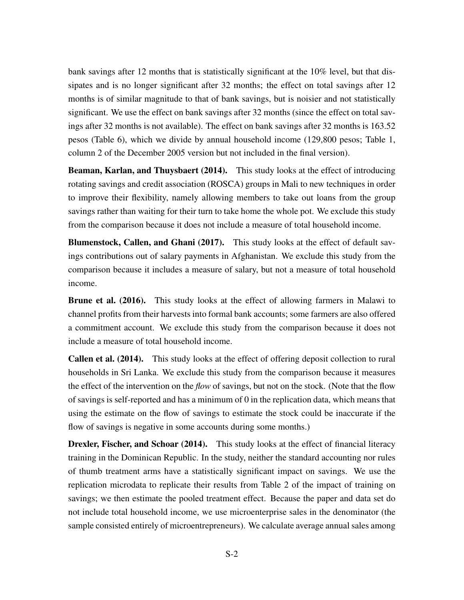bank savings after 12 months that is statistically significant at the 10% level, but that dissipates and is no longer significant after 32 months; the effect on total savings after 12 months is of similar magnitude to that of bank savings, but is noisier and not statistically significant. We use the effect on bank savings after 32 months (since the effect on total savings after 32 months is not available). The effect on bank savings after 32 months is 163.52 pesos (Table 6), which we divide by annual household income (129,800 pesos; Table 1, column 2 of the December 2005 version but not included in the final version).

[Beaman, Karlan, and Thuysbaert](#page-62-2) [\(2014\)](#page-62-2). This study looks at the effect of introducing rotating savings and credit association (ROSCA) groups in Mali to new techniques in order to improve their flexibility, namely allowing members to take out loans from the group savings rather than waiting for their turn to take home the whole pot. We exclude this study from the comparison because it does not include a measure of total household income.

[Blumenstock, Callen, and Ghani](#page-62-3) [\(2017\)](#page-62-3). This study looks at the effect of default savings contributions out of salary payments in Afghanistan. We exclude this study from the comparison because it includes a measure of salary, but not a measure of total household income.

[Brune et al.](#page-31-6) [\(2016\)](#page-31-6). This study looks at the effect of allowing farmers in Malawi to channel profits from their harvests into formal bank accounts; some farmers are also offered a commitment account. We exclude this study from the comparison because it does not include a measure of total household income.

[Callen et al.](#page-31-9) [\(2014\)](#page-31-9). This study looks at the effect of offering deposit collection to rural households in Sri Lanka. We exclude this study from the comparison because it measures the effect of the intervention on the *flow* of savings, but not on the stock. (Note that the flow of savings is self-reported and has a minimum of 0 in the replication data, which means that using the estimate on the flow of savings to estimate the stock could be inaccurate if the flow of savings is negative in some accounts during some months.)

**[Drexler, Fischer, and Schoar](#page-62-4) [\(2014\)](#page-62-4).** This study looks at the effect of financial literacy training in the Dominican Republic. In the study, neither the standard accounting nor rules of thumb treatment arms have a statistically significant impact on savings. We use the replication microdata to replicate their results from Table 2 of the impact of training on savings; we then estimate the pooled treatment effect. Because the paper and data set do not include total household income, we use microenterprise sales in the denominator (the sample consisted entirely of microentrepreneurs). We calculate average annual sales among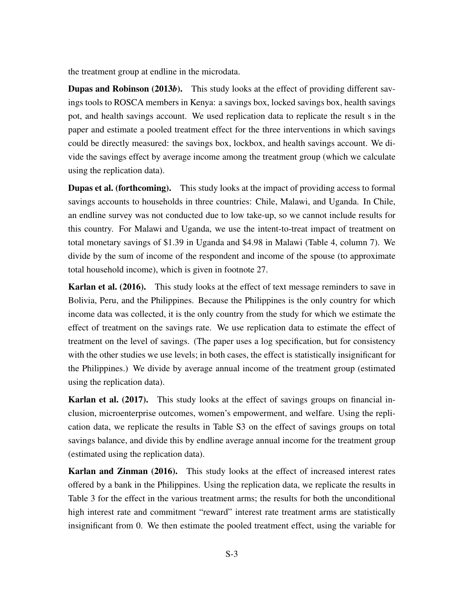the treatment group at endline in the microdata.

[Dupas and Robinson](#page-31-17) [\(2013](#page-31-17)*b*). This study looks at the effect of providing different savings tools to ROSCA members in Kenya: a savings box, locked savings box, health savings pot, and health savings account. We used replication data to replicate the result s in the paper and estimate a pooled treatment effect for the three interventions in which savings could be directly measured: the savings box, lockbox, and health savings account. We divide the savings effect by average income among the treatment group (which we calculate using the replication data).

**[Dupas et al.](#page-31-1) [\(forthcoming\)](#page-31-1).** This study looks at the impact of providing access to formal savings accounts to households in three countries: Chile, Malawi, and Uganda. In Chile, an endline survey was not conducted due to low take-up, so we cannot include results for this country. For Malawi and Uganda, we use the intent-to-treat impact of treatment on total monetary savings of \$1.39 in Uganda and \$4.98 in Malawi (Table 4, column 7). We divide by the sum of income of the respondent and income of the spouse (to approximate total household income), which is given in footnote 27.

[Karlan et al.](#page-63-0) [\(2016\)](#page-63-0). This study looks at the effect of text message reminders to save in Bolivia, Peru, and the Philippines. Because the Philippines is the only country for which income data was collected, it is the only country from the study for which we estimate the effect of treatment on the savings rate. We use replication data to estimate the effect of treatment on the level of savings. (The paper uses a log specification, but for consistency with the other studies we use levels; in both cases, the effect is statistically insignificant for the Philippines.) We divide by average annual income of the treatment group (estimated using the replication data).

[Karlan et al.](#page-63-1) [\(2017\)](#page-63-1). This study looks at the effect of savings groups on financial inclusion, microenterprise outcomes, women's empowerment, and welfare. Using the replication data, we replicate the results in Table S3 on the effect of savings groups on total savings balance, and divide this by endline average annual income for the treatment group (estimated using the replication data).

[Karlan and Zinman](#page-63-2) [\(2016\)](#page-63-2). This study looks at the effect of increased interest rates offered by a bank in the Philippines. Using the replication data, we replicate the results in Table 3 for the effect in the various treatment arms; the results for both the unconditional high interest rate and commitment "reward" interest rate treatment arms are statistically insignificant from 0. We then estimate the pooled treatment effect, using the variable for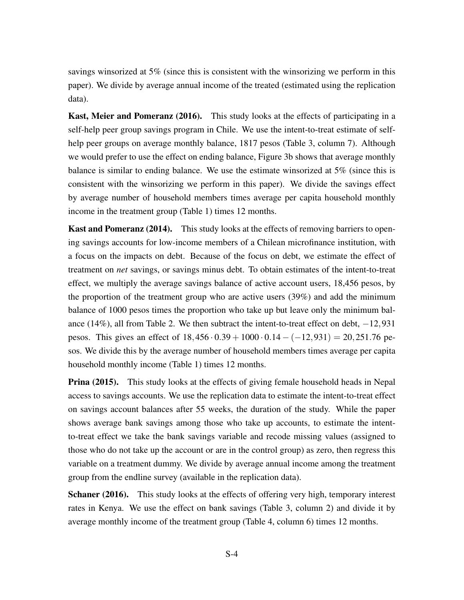savings winsorized at 5% (since this is consistent with the winsorizing we perform in this paper). We divide by average annual income of the treated (estimated using the replication data).

[Kast, Meier and Pomeranz](#page-32-6) [\(2016\)](#page-32-6). This study looks at the effects of participating in a self-help peer group savings program in Chile. We use the intent-to-treat estimate of selfhelp peer groups on average monthly balance, 1817 pesos (Table 3, column 7). Although we would prefer to use the effect on ending balance, Figure 3b shows that average monthly balance is similar to ending balance. We use the estimate winsorized at 5% (since this is consistent with the winsorizing we perform in this paper). We divide the savings effect by average number of household members times average per capita household monthly income in the treatment group (Table 1) times 12 months.

[Kast and Pomeranz](#page-32-5) [\(2014\)](#page-32-5). This study looks at the effects of removing barriers to opening savings accounts for low-income members of a Chilean microfinance institution, with a focus on the impacts on debt. Because of the focus on debt, we estimate the effect of treatment on *net* savings, or savings minus debt. To obtain estimates of the intent-to-treat effect, we multiply the average savings balance of active account users, 18,456 pesos, by the proportion of the treatment group who are active users (39%) and add the minimum balance of 1000 pesos times the proportion who take up but leave only the minimum balance (14%), all from Table 2. We then subtract the intent-to-treat effect on debt,  $-12,931$ pesos. This gives an effect of  $18,456 \cdot 0.39 + 1000 \cdot 0.14 - (-12,931) = 20,251.76$  pesos. We divide this by the average number of household members times average per capita household monthly income (Table 1) times 12 months.

**[Prina](#page-33-0) [\(2015\)](#page-33-0).** This study looks at the effects of giving female household heads in Nepal access to savings accounts. We use the replication data to estimate the intent-to-treat effect on savings account balances after 55 weeks, the duration of the study. While the paper shows average bank savings among those who take up accounts, to estimate the intentto-treat effect we take the bank savings variable and recode missing values (assigned to those who do not take up the account or are in the control group) as zero, then regress this variable on a treatment dummy. We divide by average annual income among the treatment group from the endline survey (available in the replication data).

[Schaner](#page-63-3) [\(2016\)](#page-63-3). This study looks at the effects of offering very high, temporary interest rates in Kenya. We use the effect on bank savings (Table 3, column 2) and divide it by average monthly income of the treatment group (Table 4, column 6) times 12 months.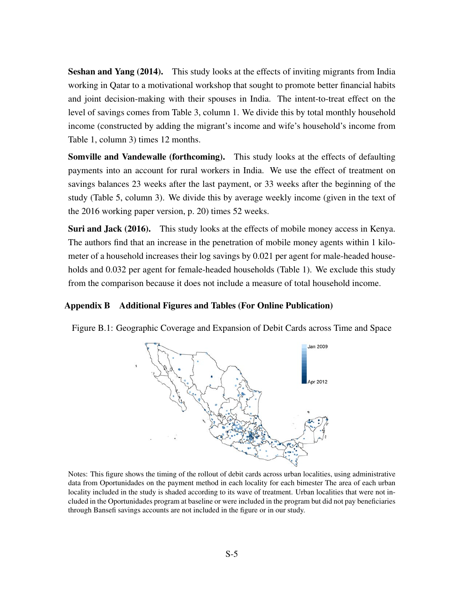[Seshan and Yang](#page-63-4) [\(2014\)](#page-63-4). This study looks at the effects of inviting migrants from India working in Qatar to a motivational workshop that sought to promote better financial habits and joint decision-making with their spouses in India. The intent-to-treat effect on the level of savings comes from Table 3, column 1. We divide this by total monthly household income (constructed by adding the migrant's income and wife's household's income from Table 1, column 3) times 12 months.

[Somville and Vandewalle](#page-63-5) [\(forthcoming\)](#page-63-5). This study looks at the effects of defaulting payments into an account for rural workers in India. We use the effect of treatment on savings balances 23 weeks after the last payment, or 33 weeks after the beginning of the study (Table 5, column 3). We divide this by average weekly income (given in the text of the 2016 working paper version, p. 20) times 52 weeks.

[Suri and Jack](#page-33-2) [\(2016\)](#page-33-2). This study looks at the effects of mobile money access in Kenya. The authors find that an increase in the penetration of mobile money agents within 1 kilometer of a household increases their log savings by 0.021 per agent for male-headed households and 0.032 per agent for female-headed households (Table 1). We exclude this study from the comparison because it does not include a measure of total household income.

## Appendix B Additional Figures and Tables (For Online Publication)



<span id="page-46-0"></span>Figure B.1: Geographic Coverage and Expansion of Debit Cards across Time and Space

Notes: This figure shows the timing of the rollout of debit cards across urban localities, using administrative data from Oportunidades on the payment method in each locality for each bimester The area of each urban locality included in the study is shaded according to its wave of treatment. Urban localities that were not included in the Oportunidades program at baseline or were included in the program but did not pay beneficiaries through Bansefi savings accounts are not included in the figure or in our study.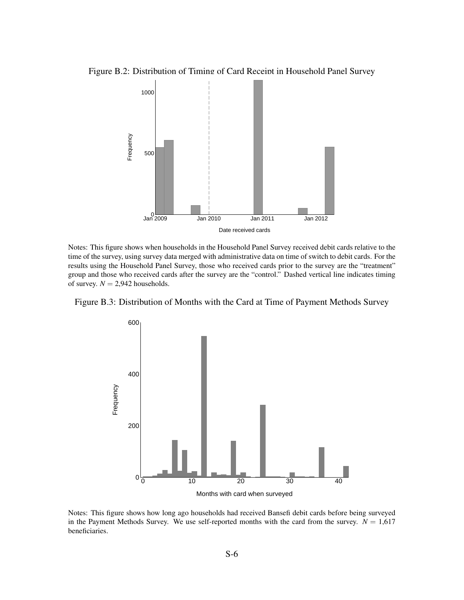<span id="page-47-0"></span>Figure B.2: Distribution of Timing of Card Receipt in Household Panel Survey



Notes: This figure shows when households in the Household Panel Survey received debit cards relative to the time of the survey, using survey data merged with administrative data on time of switch to debit cards. For the results using the Household Panel Survey, those who received cards prior to the survey are the "treatment" group and those who received cards after the survey are the "control." Dashed vertical line indicates timing of survey.  $N = 2,942$  households.

Figure B.3: Distribution of Months with the Card at Time of Payment Methods Survey



Notes: This figure shows how long ago households had received Bansefi debit cards before being surveyed in the Payment Methods Survey. We use self-reported months with the card from the survey.  $N = 1,617$ beneficiaries.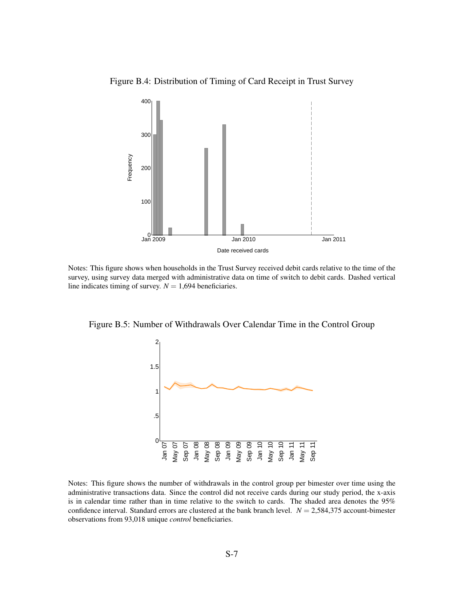<span id="page-48-0"></span>Figure B.4: Distribution of Timing of Card Receipt in Trust Survey



Notes: This figure shows when households in the Trust Survey received debit cards relative to the time of the survey, using survey data merged with administrative data on time of switch to debit cards. Dashed vertical line indicates timing of survey.  $N = 1,694$  beneficiaries.



<span id="page-48-1"></span>Figure B.5: Number of Withdrawals Over Calendar Time in the Control Group

Notes: This figure shows the number of withdrawals in the control group per bimester over time using the administrative transactions data. Since the control did not receive cards during our study period, the x-axis is in calendar time rather than in time relative to the switch to cards. The shaded area denotes the 95% confidence interval. Standard errors are clustered at the bank branch level. *N* = 2,584,375 account-bimester observations from 93,018 unique *control* beneficiaries.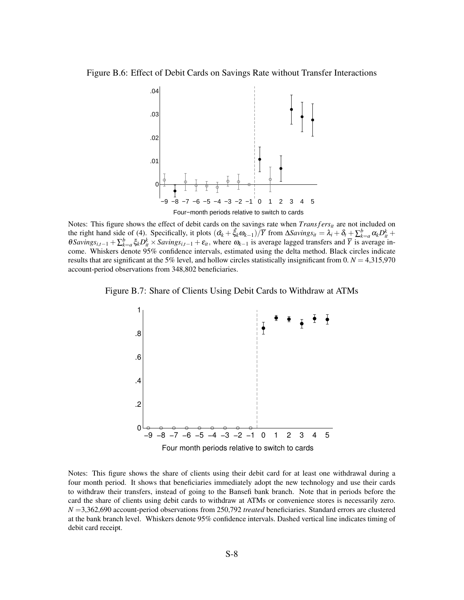<span id="page-49-0"></span>Figure B.6: Effect of Debit Cards on Savings Rate without Transfer Interactions



Notes: This figure shows the effect of debit cards on the savings rate when *Transfers<sub>it</sub>* are not included on the right hand side of [\(4\)](#page-16-2). Specifically, it plots  $(\hat{\alpha_k} + \hat{\xi_k}\omega_{k-1})/\overline{Y}$  from  $\Delta Savings_{it} = \lambda_i + \delta_t + \sum_{k=a}^{b} \alpha_k D_{it}^k +$  $\theta$ *Savings*<sub>*i*</sub>, $t-1 + \sum_{k=a}^{b} \xi_k D_{it}^k \times S$ *avings*<sub>*i*</sub>, $t-1 + \varepsilon_i t$ , where  $\omega_{k-1}$  is average lagged transfers and  $\overline{Y}$  is average income. Whiskers denote 95% confidence intervals, estimated using the delta method. Black circles indicate results that are significant at the 5% level, and hollow circles statistically insignificant from  $0, N = 4,315,970$ account-period observations from 348,802 beneficiaries.

<span id="page-49-1"></span>Figure B.7: Share of Clients Using Debit Cards to Withdraw at ATMs



Notes: This figure shows the share of clients using their debit card for at least one withdrawal during a four month period. It shows that beneficiaries immediately adopt the new technology and use their cards to withdraw their transfers, instead of going to the Bansefi bank branch. Note that in periods before the card the share of clients using debit cards to withdraw at ATMs or convenience stores is necessarily zero. *N* =3,362,690 account-period observations from 250,792 *treated* beneficiaries. Standard errors are clustered at the bank branch level. Whiskers denote 95% confidence intervals. Dashed vertical line indicates timing of debit card receipt.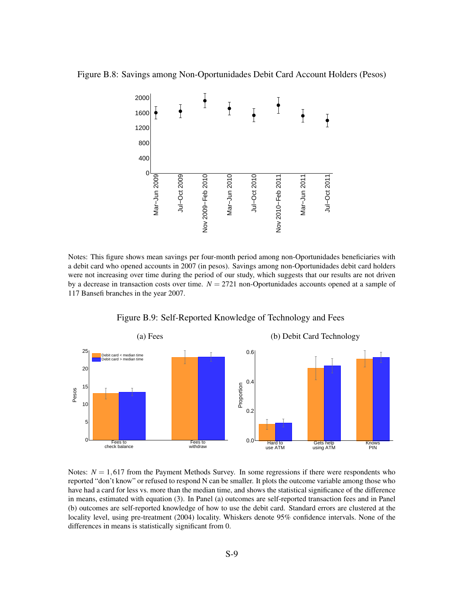<span id="page-50-0"></span>



Notes: This figure shows mean savings per four-month period among non-Oportunidades beneficiaries with a debit card who opened accounts in 2007 (in pesos). Savings among non-Oportunidades debit card holders were not increasing over time during the period of our study, which suggests that our results are not driven by a decrease in transaction costs over time.  $N = 2721$  non-Oportunidades accounts opened at a sample of 117 Bansefi branches in the year 2007.

<span id="page-50-1"></span>

Figure B.9: Self-Reported Knowledge of Technology and Fees

Notes:  $N = 1,617$  from the Payment Methods Survey. In some regressions if there were respondents who reported "don't know" or refused to respond N can be smaller. It plots the outcome variable among those who have had a card for less vs. more than the median time, and shows the statistical significance of the difference in means, estimated with equation [\(3\)](#page-12-1). In Panel (a) outcomes are self-reported transaction fees and in Panel (b) outcomes are self-reported knowledge of how to use the debit card. Standard errors are clustered at the locality level, using pre-treatment (2004) locality. Whiskers denote 95% confidence intervals. None of the differences in means is statistically significant from 0.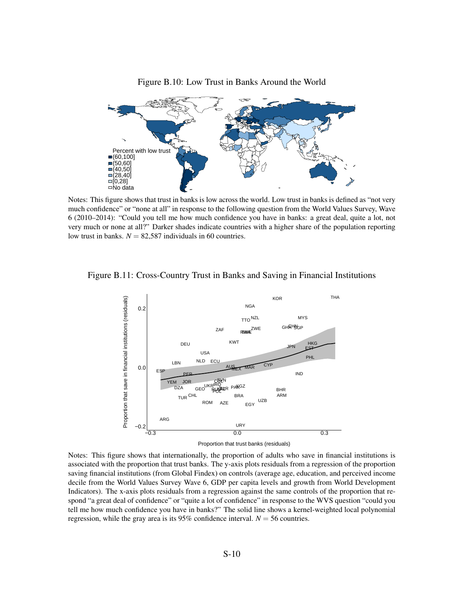<span id="page-51-0"></span>

Figure B.10: Low Trust in Banks Around the World

Notes: This figure shows that trust in banks is low across the world. Low trust in banks is defined as "not very much confidence" or "none at all" in response to the following question from the World Values Survey, Wave 6 (2010–2014): "Could you tell me how much confidence you have in banks: a great deal, quite a lot, not very much or none at all?" Darker shades indicate countries with a higher share of the population reporting low trust in banks.  $N = 82,587$  individuals in 60 countries.

<span id="page-51-1"></span>



Notes: This figure shows that internationally, the proportion of adults who save in financial institutions is associated with the proportion that trust banks. The y-axis plots residuals from a regression of the proportion saving financial institutions (from Global Findex) on controls (average age, education, and perceived income decile from the World Values Survey Wave 6, GDP per capita levels and growth from World Development Indicators). The x-axis plots residuals from a regression against the same controls of the proportion that respond "a great deal of confidence" or "quite a lot of confidence" in response to the WVS question "could you tell me how much confidence you have in banks?" The solid line shows a kernel-weighted local polynomial regression, while the gray area is its  $95\%$  confidence interval.  $N = 56$  countries.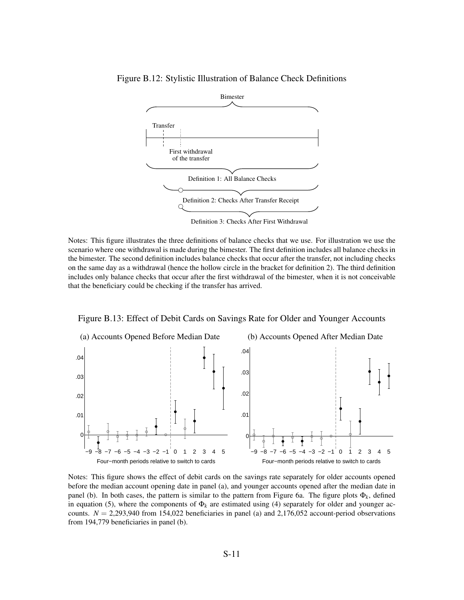

<span id="page-52-0"></span>Figure B.12: Stylistic Illustration of Balance Check Definitions

Notes: This figure illustrates the three definitions of balance checks that we use. For illustration we use the scenario where one withdrawal is made during the bimester. The first definition includes all balance checks in the bimester. The second definition includes balance checks that occur after the transfer, not including checks on the same day as a withdrawal (hence the hollow circle in the bracket for definition 2). The third definition includes only balance checks that occur after the first withdrawal of the bimester, when it is not conceivable that the beneficiary could be checking if the transfer has arrived.



<span id="page-52-1"></span>Figure B.13: Effect of Debit Cards on Savings Rate for Older and Younger Accounts

Notes: This figure shows the effect of debit cards on the savings rate separately for older accounts opened before the median account opening date in panel (a), and younger accounts opened after the median date in panel (b). In both cases, the pattern is similar to the pattern from Figure [6a.](#page-38-0) The figure plots  $\Phi_k$ , defined in equation [\(5\)](#page-17-0), where the components of  $\Phi_k$  are estimated using [\(4\)](#page-16-2) separately for older and younger accounts.  $N = 2,293,940$  from 154,022 beneficiaries in panel (a) and 2,176,052 account-period observations from 194,779 beneficiaries in panel (b).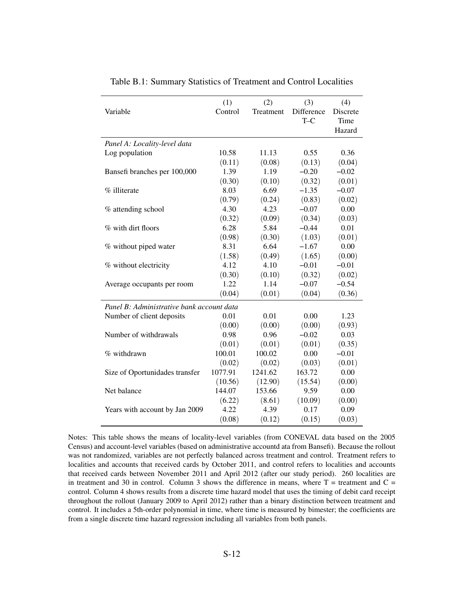|                                           | (1)     | (2)       | (3)        | (4)      |
|-------------------------------------------|---------|-----------|------------|----------|
| Variable                                  | Control | Treatment | Difference | Discrete |
|                                           |         |           | $T-C$      | Time     |
|                                           |         |           |            | Hazard   |
| Panel A: Locality-level data              |         |           |            |          |
| Log population                            | 10.58   | 11.13     | 0.55       | 0.36     |
|                                           | (0.11)  | (0.08)    | (0.13)     | (0.04)   |
| Bansefi branches per 100,000              | 1.39    | 1.19      | $-0.20$    | $-0.02$  |
|                                           | (0.30)  | (0.10)    | (0.32)     | (0.01)   |
| % illiterate                              | 8.03    | 6.69      | $-1.35$    | $-0.07$  |
|                                           | (0.79)  | (0.24)    | (0.83)     | (0.02)   |
| % attending school                        | 4.30    | 4.23      | $-0.07$    | 0.00     |
|                                           | (0.32)  | (0.09)    | (0.34)     | (0.03)   |
| % with dirt floors                        | 6.28    | 5.84      | $-0.44$    | 0.01     |
|                                           | (0.98)  | (0.30)    | (1.03)     | (0.01)   |
| % without piped water                     | 8.31    | 6.64      | $-1.67$    | 0.00     |
|                                           | (1.58)  | (0.49)    | (1.65)     | (0.00)   |
| % without electricity                     | 4.12    | 4.10      | $-0.01$    | $-0.01$  |
|                                           | (0.30)  | (0.10)    | (0.32)     | (0.02)   |
| Average occupants per room                | 1.22    | 1.14      | $-0.07$    | $-0.54$  |
|                                           | (0.04)  | (0.01)    | (0.04)     | (0.36)   |
| Panel B: Administrative bank account data |         |           |            |          |
| Number of client deposits                 | 0.01    | 0.01      | 0.00       | 1.23     |
|                                           | (0.00)  | (0.00)    | (0.00)     | (0.93)   |
| Number of withdrawals                     | 0.98    | 0.96      | $-0.02$    | 0.03     |
|                                           | (0.01)  | (0.01)    | (0.01)     | (0.35)   |
| $%$ withdrawn                             | 100.01  | 100.02    | 0.00       | $-0.01$  |
|                                           | (0.02)  | (0.02)    | (0.03)     | (0.01)   |
| Size of Oportunidades transfer            | 1077.91 | 1241.62   | 163.72     | 0.00     |
|                                           | (10.56) | (12.90)   | (15.54)    | (0.00)   |
| Net balance                               | 144.07  | 153.66    | 9.59       | 0.00     |
|                                           | (6.22)  | (8.61)    | (10.09)    | (0.00)   |
| Years with account by Jan 2009            | 4.22    | 4.39      | 0.17       | 0.09     |
|                                           | (0.08)  | (0.12)    | (0.15)     | (0.03)   |

<span id="page-53-0"></span>Table B.1: Summary Statistics of Treatment and Control Localities

Notes: This table shows the means of locality-level variables (from CONEVAL data based on the 2005 Census) and account-level variables (based on administrative accountd ata from Bansefi). Because the rollout was not randomized, variables are not perfectly balanced across treatment and control. Treatment refers to localities and accounts that received cards by October 2011, and control refers to localities and accounts that received cards between November 2011 and April 2012 (after our study period). 260 localities are in treatment and 30 in control. Column 3 shows the difference in means, where  $T =$  treatment and  $C =$ control. Column 4 shows results from a discrete time hazard model that uses the timing of debit card receipt throughout the rollout (January 2009 to April 2012) rather than a binary distinction between treatment and control. It includes a 5th-order polynomial in time, where time is measured by bimester; the coefficients are from a single discrete time hazard regression including all variables from both panels.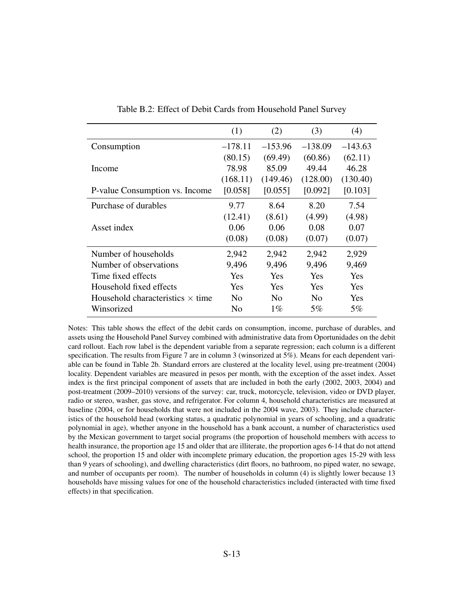<span id="page-54-0"></span>

|                                         | (1)            | (2)            | (3)            | (4)       |
|-----------------------------------------|----------------|----------------|----------------|-----------|
| Consumption                             | $-178.11$      | $-153.96$      | $-138.09$      | $-143.63$ |
|                                         | (80.15)        | (69.49)        | (60.86)        | (62.11)   |
| Income                                  | 78.98          | 85.09          | 49.44          | 46.28     |
|                                         | (168.11)       | (149.46)       | (128.00)       | (130.40)  |
| P-value Consumption vs. Income          | [0.058]        | [0.055]        | [0.092]        | [0.103]   |
| Purchase of durables                    | 9.77           | 8.64           | 8.20           | 7.54      |
|                                         | (12.41)        | (8.61)         | (4.99)         | (4.98)    |
| Asset index                             | 0.06           | 0.06           | 0.08           | 0.07      |
|                                         | (0.08)         | (0.08)         | (0.07)         | (0.07)    |
| Number of households                    | 2,942          | 2,942          | 2,942          | 2,929     |
| Number of observations                  | 9,496          | 9,496          | 9,496          | 9,469     |
| Time fixed effects                      | Yes            | Yes            | Yes            | Yes       |
| Household fixed effects                 | Yes            | Yes            | Yes            | Yes       |
| Household characteristics $\times$ time | N <sub>0</sub> | N <sub>0</sub> | N <sub>0</sub> | Yes       |
| Winsorized                              | N <sub>0</sub> | $1\%$          | $5\%$          | $5\%$     |

Table B.2: Effect of Debit Cards from Household Panel Survey

Notes: This table shows the effect of the debit cards on consumption, income, purchase of durables, and assets using the Household Panel Survey combined with administrative data from Oportunidades on the debit card rollout. Each row label is the dependent variable from a separate regression; each column is a different specification. The results from Figure [7](#page-39-0) are in column 3 (winsorized at 5%). Means for each dependent variable can be found in Table [2b](#page-34-0). Standard errors are clustered at the locality level, using pre-treatment (2004) locality. Dependent variables are measured in pesos per month, with the exception of the asset index. Asset index is the first principal component of assets that are included in both the early (2002, 2003, 2004) and post-treatment (2009–2010) versions of the survey: car, truck, motorcycle, television, video or DVD player, radio or stereo, washer, gas stove, and refrigerator. For column 4, household characteristics are measured at baseline (2004, or for households that were not included in the 2004 wave, 2003). They include characteristics of the household head (working status, a quadratic polynomial in years of schooling, and a quadratic polynomial in age), whether anyone in the household has a bank account, a number of characteristics used by the Mexican government to target social programs (the proportion of household members with access to health insurance, the proportion age 15 and older that are illiterate, the proportion ages 6-14 that do not attend school, the proportion 15 and older with incomplete primary education, the proportion ages 15-29 with less than 9 years of schooling), and dwelling characteristics (dirt floors, no bathroom, no piped water, no sewage, and number of occupants per room). The number of households in column (4) is slightly lower because 13 households have missing values for one of the household characteristics included (interacted with time fixed effects) in that specification.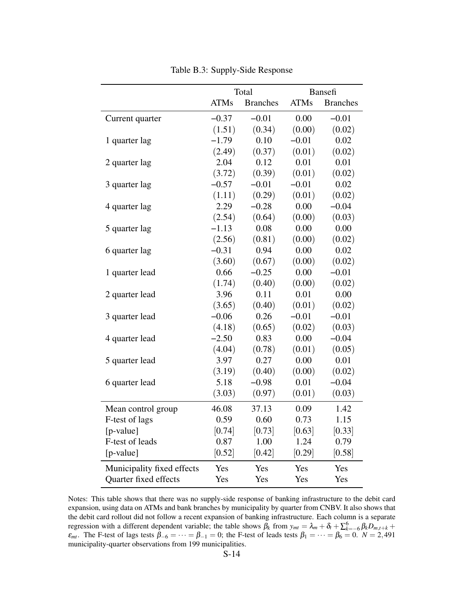<span id="page-55-0"></span>

|                            | Total       |                 | Bansefi     |                 |
|----------------------------|-------------|-----------------|-------------|-----------------|
|                            | <b>ATMs</b> | <b>Branches</b> | <b>ATMs</b> | <b>Branches</b> |
| Current quarter            | $-0.37$     | $-0.01$         | 0.00        | $-0.01$         |
|                            | (1.51)      | (0.34)          | (0.00)      | (0.02)          |
| 1 quarter lag              | $-1.79$     | 0.10            | $-0.01$     | 0.02            |
|                            | (2.49)      | (0.37)          | (0.01)      | (0.02)          |
| 2 quarter lag              | 2.04        | 0.12            | 0.01        | 0.01            |
|                            | (3.72)      | (0.39)          | (0.01)      | (0.02)          |
| 3 quarter lag              | $-0.57$     | $-0.01$         | $-0.01$     | 0.02            |
|                            | (1.11)      | (0.29)          | (0.01)      | (0.02)          |
| 4 quarter lag              | 2.29        | $-0.28$         | 0.00        | $-0.04$         |
|                            | (2.54)      | (0.64)          | (0.00)      | (0.03)          |
| 5 quarter lag              | $-1.13$     | 0.08            | 0.00        | 0.00            |
|                            | (2.56)      | (0.81)          | (0.00)      | (0.02)          |
| 6 quarter lag              | $-0.31$     | 0.94            | 0.00        | 0.02            |
|                            | (3.60)      | (0.67)          | (0.00)      | (0.02)          |
| 1 quarter lead             | 0.66        | $-0.25$         | 0.00        | $-0.01$         |
|                            | (1.74)      | (0.40)          | (0.00)      | (0.02)          |
| 2 quarter lead             | 3.96        | 0.11            | 0.01        | 0.00            |
|                            | (3.65)      | (0.40)          | (0.01)      | (0.02)          |
| 3 quarter lead             | $-0.06$     | 0.26            | $-0.01$     | $-0.01$         |
|                            | (4.18)      | (0.65)          | (0.02)      | (0.03)          |
| 4 quarter lead             | $-2.50$     | 0.83            | 0.00        | $-0.04$         |
|                            | (4.04)      | (0.78)          | (0.01)      | (0.05)          |
| 5 quarter lead             | 3.97        | 0.27            | 0.00        | 0.01            |
|                            | (3.19)      | (0.40)          | (0.00)      | (0.02)          |
| 6 quarter lead             | 5.18        | $-0.98$         | 0.01        | $-0.04$         |
|                            | (3.03)      | (0.97)          | (0.01)      | (0.03)          |
| Mean control group         | 46.08       | 37.13           | 0.09        | 1.42            |
| F-test of lags             | 0.59        | 0.60            | 0.73        | 1.15            |
| [p-value]                  | [0.74]      | [0.73]          | [0.63]      | [0.33]          |
| F-test of leads            | 0.87        | 1.00            | 1.24        | 0.79            |
| $[p-value]$                | [0.52]      | [0.42]          | [0.29]      | [0.58]          |
| Municipality fixed effects | Yes         | Yes             | Yes         | Yes             |
| Quarter fixed effects      | Yes         | Yes             | Yes         | Yes             |

Table B.3: Supply-Side Response

Notes: This table shows that there was no supply-side response of banking infrastructure to the debit card expansion, using data on ATMs and bank branches by municipality by quarter from CNBV. It also shows that the debit card rollout did not follow a recent expansion of banking infrastructure. Each column is a separate regression with a different dependent variable; the table shows  $\beta_k$  from  $y_{mt} = \lambda_m + \delta_t + \sum_{k=-6}^{6} \beta_k D_{m,t+k}$  $\varepsilon_{mt}$ . The F-test of lags tests  $\beta_{-6} = \cdots = \beta_{-1} = 0$ ; the F-test of leads tests  $\beta_1 = \cdots = \beta_6 = 0$ .  $N = 2,491$ municipality-quarter observations from 199 municipalities.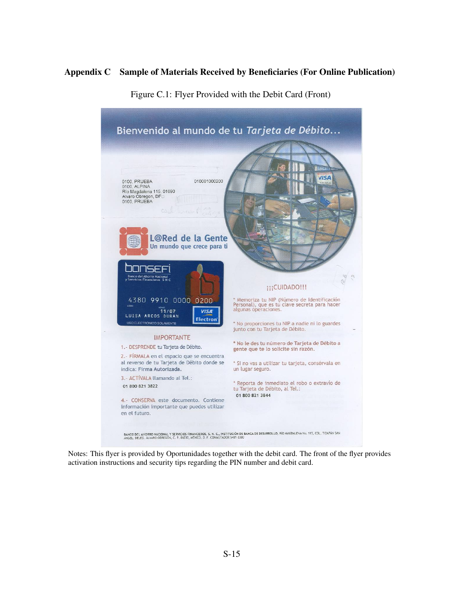# <span id="page-56-0"></span>Appendix C Sample of Materials Received by Beneficiaries (For Online Publication)



Figure C.1: Flyer Provided with the Debit Card (Front)

Notes: This flyer is provided by Oportunidades together with the debit card. The front of the flyer provides activation instructions and security tips regarding the PIN number and debit card.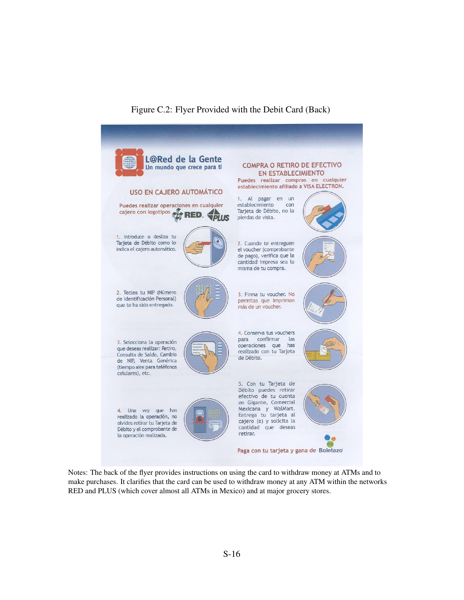

# Figure C.2: Flyer Provided with the Debit Card (Back)

Notes: The back of the flyer provides instructions on using the card to withdraw money at ATMs and to make purchases. It clarifies that the card can be used to withdraw money at any ATM within the networks RED and PLUS (which cover almost all ATMs in Mexico) and at major grocery stores.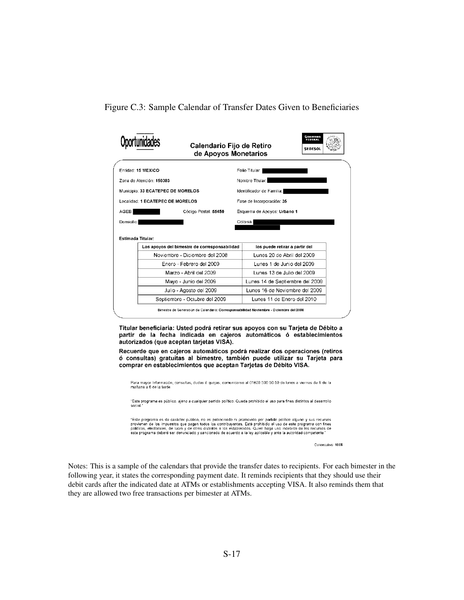<span id="page-58-0"></span>Figure C.3: Sample Calendar of Transfer Dates Given to Beneficiaries



Titular beneficiaria: Usted podrá retirar sus apoyos con su Tarjeta de Débito a partir de la fecha indicada en cajeros automáticos ó establecimientos autorizados (que aceptan tarjetas VISA).

Recuerde que en cajeros automáticos podrá realizar dos operaciones (retiros ó consultas) gratuitas al bimestre, también puede utilizar su Tarjeta para comprar en establecimientos que aceptan Tarjetas de Débito VISA.

Para mayor Información, consultas, dudas ó quejas, comunicarse al 01800 500 50 50 de lunes a viernes de 9 de la<br>mañana a 6 de la tarde.

"Este programa es público, ajeno a cualquier partido político. Queda prohibido el uso para fines distintos al desarrollo social.

"Este programa es de carácter público, no es patrocinado ni promovido por partido político alguno y sus recursos<br>provienen de los impuestos que pagan todos los contribuyentes. Está prohibido el uso de este programa con fin este programa deberá ser denunciado y sancionado de acuerdo a la ley aplicable y ante la autoridad competente

Consecutivo: 1005

Notes: This is a sample of the calendars that provide the transfer dates to recipients. For each bimester in the following year, it states the corresponding payment date. It reminds recipients that they should use their debit cards after the indicated date at ATMs or establishments accepting VISA. It also reminds them that they are allowed two free transactions per bimester at ATMs.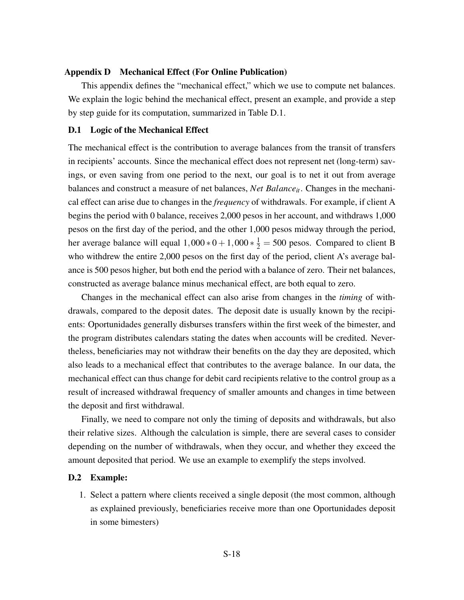#### <span id="page-59-0"></span>Appendix D Mechanical Effect (For Online Publication)

This appendix defines the "mechanical effect," which we use to compute net balances. We explain the logic behind the mechanical effect, present an example, and provide a step by step guide for its computation, summarized in Table [D.1.](#page-61-0)

### D.1 Logic of the Mechanical Effect

The mechanical effect is the contribution to average balances from the transit of transfers in recipients' accounts. Since the mechanical effect does not represent net (long-term) savings, or even saving from one period to the next, our goal is to net it out from average balances and construct a measure of net balances, *Net Balanceit*. Changes in the mechanical effect can arise due to changes in the *frequency* of withdrawals. For example, if client A begins the period with 0 balance, receives 2,000 pesos in her account, and withdraws 1,000 pesos on the first day of the period, and the other 1,000 pesos midway through the period, her average balance will equal  $1,000 * 0 + 1,000 * \frac{1}{2} = 500$  pesos. Compared to client B who withdrew the entire 2,000 pesos on the first day of the period, client A's average balance is 500 pesos higher, but both end the period with a balance of zero. Their net balances, constructed as average balance minus mechanical effect, are both equal to zero.

Changes in the mechanical effect can also arise from changes in the *timing* of withdrawals, compared to the deposit dates. The deposit date is usually known by the recipients: Oportunidades generally disburses transfers within the first week of the bimester, and the program distributes calendars stating the dates when accounts will be credited. Nevertheless, beneficiaries may not withdraw their benefits on the day they are deposited, which also leads to a mechanical effect that contributes to the average balance. In our data, the mechanical effect can thus change for debit card recipients relative to the control group as a result of increased withdrawal frequency of smaller amounts and changes in time between the deposit and first withdrawal.

Finally, we need to compare not only the timing of deposits and withdrawals, but also their relative sizes. Although the calculation is simple, there are several cases to consider depending on the number of withdrawals, when they occur, and whether they exceed the amount deposited that period. We use an example to exemplify the steps involved.

#### D.2 Example:

1. Select a pattern where clients received a single deposit (the most common, although as explained previously, beneficiaries receive more than one Oportunidades deposit in some bimesters)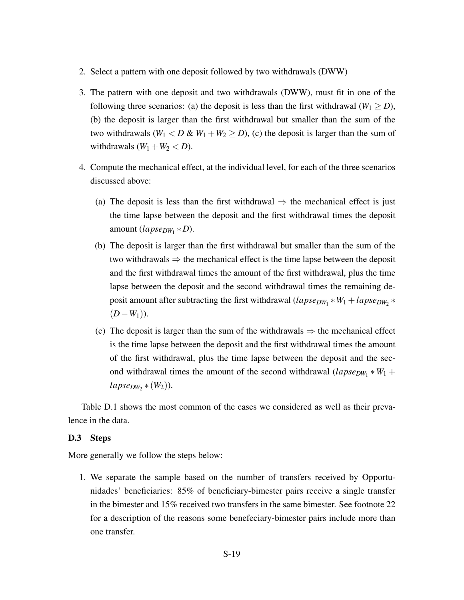- 2. Select a pattern with one deposit followed by two withdrawals (DWW)
- 3. The pattern with one deposit and two withdrawals (DWW), must fit in one of the following three scenarios: (a) the deposit is less than the first withdrawal ( $W_1 \ge D$ ), (b) the deposit is larger than the first withdrawal but smaller than the sum of the two withdrawals  $(W_1 < D & W_1 + W_2 \ge D)$ , (c) the deposit is larger than the sum of withdrawals  $(W_1 + W_2 < D)$ .
- 4. Compute the mechanical effect, at the individual level, for each of the three scenarios discussed above:
	- (a) The deposit is less than the first withdrawal  $\Rightarrow$  the mechanical effect is just the time lapse between the deposit and the first withdrawal times the deposit amount (*lapseDW*<sup>1</sup> ∗*D*).
	- (b) The deposit is larger than the first withdrawal but smaller than the sum of the two withdrawals  $\Rightarrow$  the mechanical effect is the time lapse between the deposit and the first withdrawal times the amount of the first withdrawal, plus the time lapse between the deposit and the second withdrawal times the remaining deposit amount after subtracting the first withdrawal (*lapse<sub>DW*1</sub> \* *W*<sub>1</sub> + *lapse<sub>DW*2</sub> \* (*D*−*W*1)).
	- (c) The deposit is larger than the sum of the withdrawals  $\Rightarrow$  the mechanical effect is the time lapse between the deposit and the first withdrawal times the amount of the first withdrawal, plus the time lapse between the deposit and the second withdrawal times the amount of the second withdrawal  $(lapse_{DW_1} * W_1 +$  $lapse_{DW_2} * (W_2)$ ).

Table [D.1](#page-61-0) shows the most common of the cases we considered as well as their prevalence in the data.

## D.3 Steps

More generally we follow the steps below:

1. We separate the sample based on the number of transfers received by Opportunidades' beneficiaries: 85% of beneficiary-bimester pairs receive a single transfer in the bimester and 15% received two transfers in the same bimester. See footnote [22](#page-16-1) for a description of the reasons some benefeciary-bimester pairs include more than one transfer.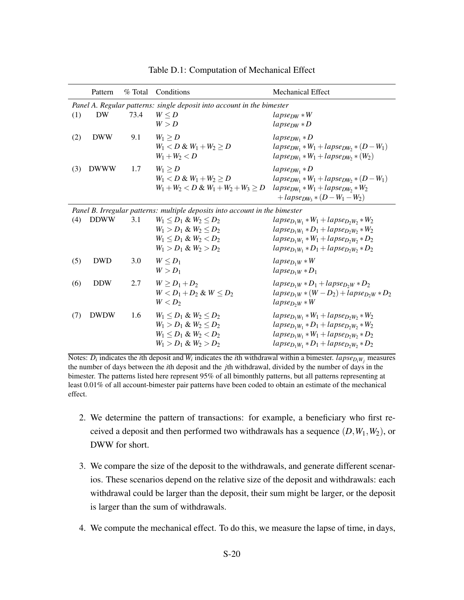<span id="page-61-0"></span>

|                                                                             | Pattern     | % Total | Conditions                             | <b>Mechanical Effect</b>                        |  |
|-----------------------------------------------------------------------------|-------------|---------|----------------------------------------|-------------------------------------------------|--|
| Panel A. Regular patterns: single deposit into account in the bimester      |             |         |                                        |                                                 |  |
| (1)                                                                         | DW          | 73.4    | $W \leq D$                             | $lapse_{DW}*W$                                  |  |
|                                                                             |             |         | W > D                                  | $lapse_{DW} * D$                                |  |
| (2)                                                                         | <b>DWW</b>  | 9.1     | $W_1 > D$                              | $lapse_{DW_1} * D$                              |  |
|                                                                             |             |         | $W_1 < D & W_1 + W_2 > D$              | $lapse_{DW_1}*W_1 + lapse_{DW_2}*(D-W_1)$       |  |
|                                                                             |             |         | $W_1 + W_2 < D$                        | $lapse_{DW_1}*W_1+lapse_{DW_2}*(W_2)$           |  |
| (3)                                                                         | <b>DWWW</b> | 1.7     | $W_1 \geq D$                           | $lapse_{DW_1} * D$                              |  |
|                                                                             |             |         | $W_1 < D & W_1 + W_2 > D$              | $lapse_{DW_1} * W_1 + lapse_{DW_2} * (D - W_1)$ |  |
|                                                                             |             |         | $W_1 + W_2 < D \& W_1 + W_2 + W_3 > D$ | $lapse_{DW_1}*W_1 + lapse_{DW_2}*W_2$           |  |
|                                                                             |             |         |                                        | + $lapse_{DW_3} * (D - W_1 - W_2)$              |  |
| Panel B. Irregular patterns: multiple deposits into account in the bimester |             |         |                                        |                                                 |  |
| (4)                                                                         | <b>DDWW</b> | 3.1     | $W_1 < D_1 \& W_2 < D_2$               | $lapse_{D_1W_1}*W_1 + lapse_{D_2W_2}*W_2$       |  |
|                                                                             |             |         | $W_1 > D_1 \& W_2 \leq D_2$            | $lapse_{D_1W_1}*D_1+lapse_{D_2W_2}*W_2$         |  |
|                                                                             |             |         | $W_1 \le D_1 \& W_2 \le D_2$           | $lapse_{D_1W_1}*W_1+lapse_{D_2W_2}*D_2$         |  |
|                                                                             |             |         | $W_1 > D_1 \& W_2 > D_2$               | $lapse_{D_1W_1}*D_1+lapse_{D_2W_2}*D_2$         |  |
| (5)                                                                         | <b>DWD</b>  | 3.0     | $W \leq D_1$                           | $lapse_{D_1W}*W$                                |  |
|                                                                             |             |         | $W > D_1$                              | $lapse_{D_1W}*D_1$                              |  |
| (6)                                                                         | <b>DDW</b>  | 2.7     | $W > D_1 + D_2$                        | $lapse_{D_1W}*D_1+lapse_{D_2W}*D_2$             |  |
|                                                                             |             |         | $W < D_1 + D_2$ & $W < D_2$            | $lapse_{D_1W} * (W - D_2) + lapse_{D_2W} * D_2$ |  |
|                                                                             |             |         | $W < D_2$                              | $lapse_{D2W}*W$                                 |  |
| (7)                                                                         | <b>DWDW</b> | 1.6     | $W_1 < D_1 \& W_2 < D_2$               | $lapse_{D_1W_1}*W_1+lapse_{D_2W_2}*W_2$         |  |
|                                                                             |             |         | $W_1 > D_1 \& W_2 \leq D_2$            | $lapse_{D_1W_1}*D_1+lapse_{D_2W_2}*W_2$         |  |
|                                                                             |             |         | $W_1 \le D_1 \& W_2 \le D_2$           | $lapse_{D_1W_1}*W_1 + lapse_{D_2W_2}*D_2$       |  |
|                                                                             |             |         | $W_1 > D_1 \& W_2 > D_2$               | $lapse_{D_1W_1}*D_1+lapse_{D_2W_2}*D_2$         |  |

Table D.1: Computation of Mechanical Effect

Notes:  $D_i$  indicates the *i*th deposit and  $W_i$  indicates the *i*th withdrawal within a bimester. *lapse* $D_iW_j$  measures the number of days between the *i*th deposit and the *j*th withdrawal, divided by the number of days in the bimester. The patterns listed here represent 95% of all bimonthly patterns, but all patterns representing at least 0.01% of all account-bimester pair patterns have been coded to obtain an estimate of the mechanical effect.

- 2. We determine the pattern of transactions: for example, a beneficiary who first received a deposit and then performed two withdrawals has a sequence (*D*,*W*1,*W*2), or DWW for short.
- 3. We compare the size of the deposit to the withdrawals, and generate different scenarios. These scenarios depend on the relative size of the deposit and withdrawals: each withdrawal could be larger than the deposit, their sum might be larger, or the deposit is larger than the sum of withdrawals.
- 4. We compute the mechanical effect. To do this, we measure the lapse of time, in days,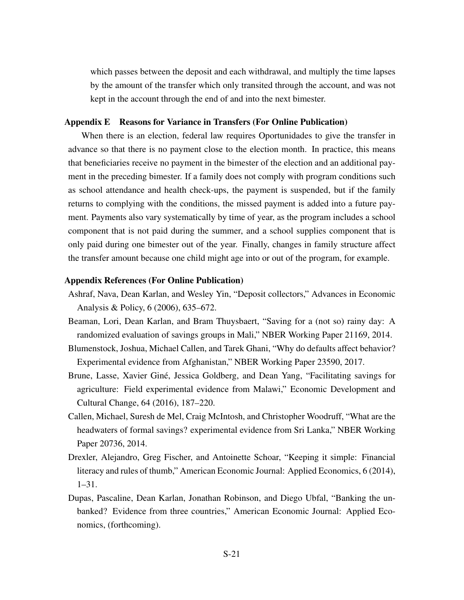which passes between the deposit and each withdrawal, and multiply the time lapses by the amount of the transfer which only transited through the account, and was not kept in the account through the end of and into the next bimester.

#### <span id="page-62-0"></span>Appendix E Reasons for Variance in Transfers (For Online Publication)

When there is an election, federal law requires Oportunidades to give the transfer in advance so that there is no payment close to the election month. In practice, this means that beneficiaries receive no payment in the bimester of the election and an additional payment in the preceding bimester. If a family does not comply with program conditions such as school attendance and health check-ups, the payment is suspended, but if the family returns to complying with the conditions, the missed payment is added into a future payment. Payments also vary systematically by time of year, as the program includes a school component that is not paid during the summer, and a school supplies component that is only paid during one bimester out of the year. Finally, changes in family structure affect the transfer amount because one child might age into or out of the program, for example.

#### <span id="page-62-1"></span>Appendix References (For Online Publication)

- Ashraf, Nava, Dean Karlan, and Wesley Yin, "Deposit collectors," Advances in Economic Analysis & Policy, 6 (2006), 635–672.
- <span id="page-62-2"></span>Beaman, Lori, Dean Karlan, and Bram Thuysbaert, "Saving for a (not so) rainy day: A randomized evaluation of savings groups in Mali," NBER Working Paper 21169, 2014.
- <span id="page-62-3"></span>Blumenstock, Joshua, Michael Callen, and Tarek Ghani, "Why do defaults affect behavior? Experimental evidence from Afghanistan," NBER Working Paper 23590, 2017.
- Brune, Lasse, Xavier Giné, Jessica Goldberg, and Dean Yang, "Facilitating savings for agriculture: Field experimental evidence from Malawi," Economic Development and Cultural Change, 64 (2016), 187–220.
- Callen, Michael, Suresh de Mel, Craig McIntosh, and Christopher Woodruff, "What are the headwaters of formal savings? experimental evidence from Sri Lanka," NBER Working Paper 20736, 2014.
- <span id="page-62-4"></span>Drexler, Alejandro, Greg Fischer, and Antoinette Schoar, "Keeping it simple: Financial literacy and rules of thumb," American Economic Journal: Applied Economics, 6 (2014), 1–31.
- Dupas, Pascaline, Dean Karlan, Jonathan Robinson, and Diego Ubfal, "Banking the unbanked? Evidence from three countries," American Economic Journal: Applied Economics, (forthcoming).